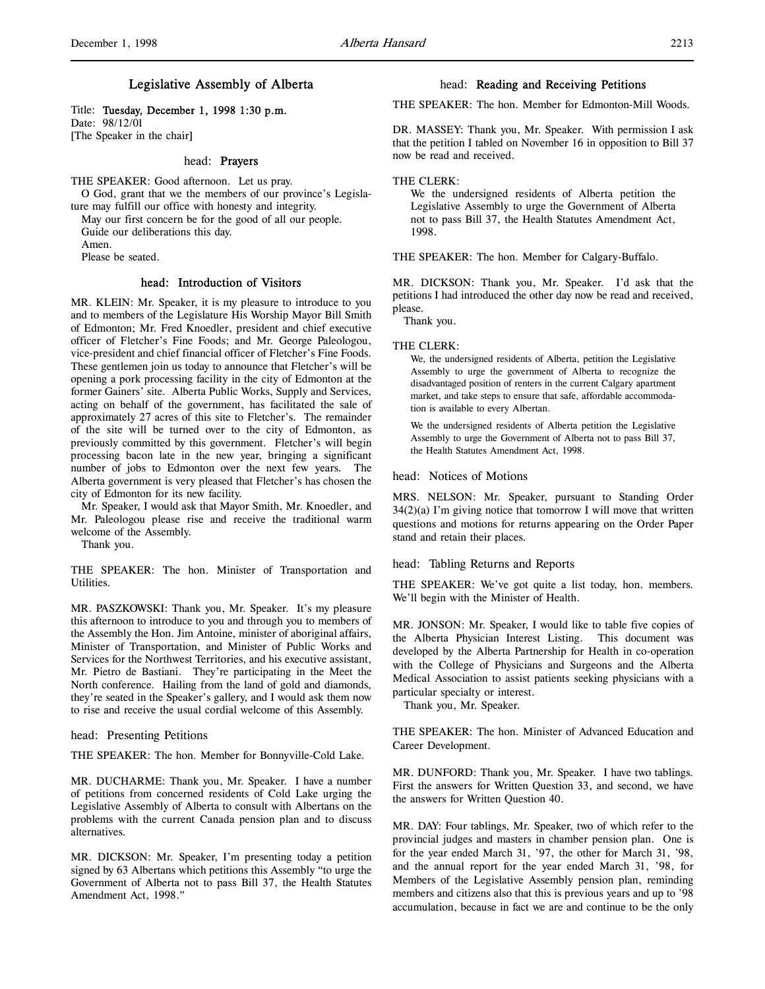# Legislative Assembly of Alberta

Title: Tuesday, December 1, 1998 1:30 p.m. Date: 98/12/01

[The Speaker in the chair]

# head: Prayers

THE SPEAKER: Good afternoon. Let us pray. O God, grant that we the members of our province's Legisla-

ture may fulfill our office with honesty and integrity. May our first concern be for the good of all our people.

Guide our deliberations this day.

Amen.

Please be seated.

# head: Introduction of Visitors

MR. KLEIN: Mr. Speaker, it is my pleasure to introduce to you and to members of the Legislature His Worship Mayor Bill Smith of Edmonton; Mr. Fred Knoedler, president and chief executive officer of Fletcher's Fine Foods; and Mr. George Paleologou, vice-president and chief financial officer of Fletcher's Fine Foods. These gentlemen join us today to announce that Fletcher's will be opening a pork processing facility in the city of Edmonton at the former Gainers' site. Alberta Public Works, Supply and Services, acting on behalf of the government, has facilitated the sale of approximately 27 acres of this site to Fletcher's. The remainder of the site will be turned over to the city of Edmonton, as previously committed by this government. Fletcher's will begin processing bacon late in the new year, bringing a significant number of jobs to Edmonton over the next few years. The Alberta government is very pleased that Fletcher's has chosen the city of Edmonton for its new facility.

Mr. Speaker, I would ask that Mayor Smith, Mr. Knoedler, and Mr. Paleologou please rise and receive the traditional warm welcome of the Assembly.

Thank you.

THE SPEAKER: The hon. Minister of Transportation and Utilities.

MR. PASZKOWSKI: Thank you, Mr. Speaker. It's my pleasure this afternoon to introduce to you and through you to members of the Assembly the Hon. Jim Antoine, minister of aboriginal affairs, Minister of Transportation, and Minister of Public Works and Services for the Northwest Territories, and his executive assistant, Mr. Pietro de Bastiani. They're participating in the Meet the North conference. Hailing from the land of gold and diamonds, they're seated in the Speaker's gallery, and I would ask them now to rise and receive the usual cordial welcome of this Assembly.

head: Presenting Petitions

THE SPEAKER: The hon. Member for Bonnyville-Cold Lake.

MR. DUCHARME: Thank you, Mr. Speaker. I have a number of petitions from concerned residents of Cold Lake urging the Legislative Assembly of Alberta to consult with Albertans on the problems with the current Canada pension plan and to discuss alternatives.

MR. DICKSON: Mr. Speaker, I'm presenting today a petition signed by 63 Albertans which petitions this Assembly "to urge the Government of Alberta not to pass Bill 37, the Health Statutes Amendment Act, 1998."

## head: Reading and Receiving Petitions

THE SPEAKER: The hon. Member for Edmonton-Mill Woods.

DR. MASSEY: Thank you, Mr. Speaker. With permission I ask that the petition I tabled on November 16 in opposition to Bill 37 now be read and received.

## THE CLERK:

We the undersigned residents of Alberta petition the Legislative Assembly to urge the Government of Alberta not to pass Bill 37, the Health Statutes Amendment Act, 1998.

THE SPEAKER: The hon. Member for Calgary-Buffalo.

MR. DICKSON: Thank you, Mr. Speaker. I'd ask that the petitions I had introduced the other day now be read and received, please.

Thank you.

#### THE CLERK:

We, the undersigned residents of Alberta, petition the Legislative Assembly to urge the government of Alberta to recognize the disadvantaged position of renters in the current Calgary apartment market, and take steps to ensure that safe, affordable accommodation is available to every Albertan.

We the undersigned residents of Alberta petition the Legislative Assembly to urge the Government of Alberta not to pass Bill 37, the Health Statutes Amendment Act, 1998.

head: Notices of Motions

MRS. NELSON: Mr. Speaker, pursuant to Standing Order  $34(2)(a)$  I'm giving notice that tomorrow I will move that written questions and motions for returns appearing on the Order Paper stand and retain their places.

head: Tabling Returns and Reports

THE SPEAKER: We've got quite a list today, hon. members. We'll begin with the Minister of Health.

MR. JONSON: Mr. Speaker, I would like to table five copies of the Alberta Physician Interest Listing. This document was developed by the Alberta Partnership for Health in co-operation with the College of Physicians and Surgeons and the Alberta Medical Association to assist patients seeking physicians with a particular specialty or interest.

Thank you, Mr. Speaker.

THE SPEAKER: The hon. Minister of Advanced Education and Career Development.

MR. DUNFORD: Thank you, Mr. Speaker. I have two tablings. First the answers for Written Question 33, and second, we have the answers for Written Question 40.

MR. DAY: Four tablings, Mr. Speaker, two of which refer to the provincial judges and masters in chamber pension plan. One is for the year ended March 31, '97, the other for March 31, '98, and the annual report for the year ended March 31, '98, for Members of the Legislative Assembly pension plan, reminding members and citizens also that this is previous years and up to '98 accumulation, because in fact we are and continue to be the only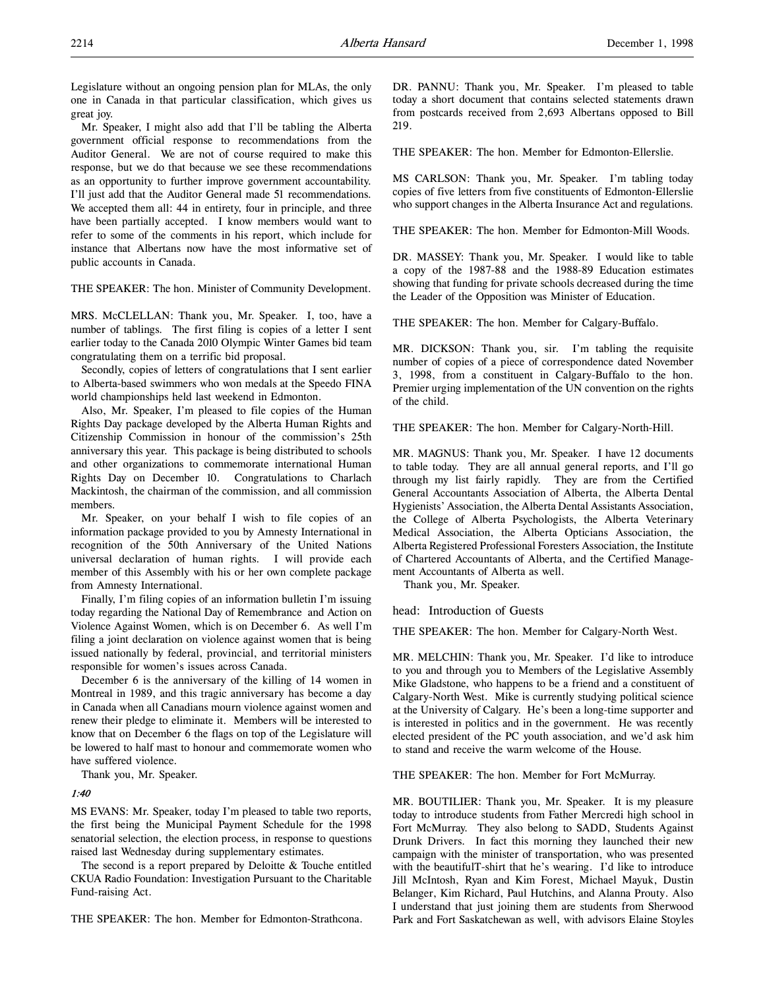Legislature without an ongoing pension plan for MLAs, the only one in Canada in that particular classification, which gives us great joy.

Mr. Speaker, I might also add that I'll be tabling the Alberta government official response to recommendations from the Auditor General. We are not of course required to make this response, but we do that because we see these recommendations as an opportunity to further improve government accountability. I'll just add that the Auditor General made 51 recommendations. We accepted them all: 44 in entirety, four in principle, and three have been partially accepted. I know members would want to refer to some of the comments in his report, which include for instance that Albertans now have the most informative set of public accounts in Canada.

THE SPEAKER: The hon. Minister of Community Development.

MRS. McCLELLAN: Thank you, Mr. Speaker. I, too, have a number of tablings. The first filing is copies of a letter I sent earlier today to the Canada 2010 Olympic Winter Games bid team congratulating them on a terrific bid proposal.

Secondly, copies of letters of congratulations that I sent earlier to Alberta-based swimmers who won medals at the Speedo FINA world championships held last weekend in Edmonton.

Also, Mr. Speaker, I'm pleased to file copies of the Human Rights Day package developed by the Alberta Human Rights and Citizenship Commission in honour of the commission's 25th anniversary this year. This package is being distributed to schools and other organizations to commemorate international Human Rights Day on December 10. Congratulations to Charlach Mackintosh, the chairman of the commission, and all commission members.

Mr. Speaker, on your behalf I wish to file copies of an information package provided to you by Amnesty International in recognition of the 50th Anniversary of the United Nations universal declaration of human rights. I will provide each member of this Assembly with his or her own complete package from Amnesty International.

Finally, I'm filing copies of an information bulletin I'm issuing today regarding the National Day of Remembrance and Action on Violence Against Women, which is on December 6. As well I'm filing a joint declaration on violence against women that is being issued nationally by federal, provincial, and territorial ministers responsible for women's issues across Canada.

December 6 is the anniversary of the killing of 14 women in Montreal in 1989, and this tragic anniversary has become a day in Canada when all Canadians mourn violence against women and renew their pledge to eliminate it. Members will be interested to know that on December 6 the flags on top of the Legislature will be lowered to half mast to honour and commemorate women who have suffered violence.

Thank you, Mr. Speaker.

## 1:40

MS EVANS: Mr. Speaker, today I'm pleased to table two reports, the first being the Municipal Payment Schedule for the 1998 senatorial selection, the election process, in response to questions raised last Wednesday during supplementary estimates.

The second is a report prepared by Deloitte & Touche entitled CKUA Radio Foundation: Investigation Pursuant to the Charitable Fund-raising Act.

THE SPEAKER: The hon. Member for Edmonton-Strathcona.

DR. PANNU: Thank you, Mr. Speaker. I'm pleased to table today a short document that contains selected statements drawn from postcards received from 2,693 Albertans opposed to Bill 219.

THE SPEAKER: The hon. Member for Edmonton-Ellerslie.

MS CARLSON: Thank you, Mr. Speaker. I'm tabling today copies of five letters from five constituents of Edmonton-Ellerslie who support changes in the Alberta Insurance Act and regulations.

THE SPEAKER: The hon. Member for Edmonton-Mill Woods.

DR. MASSEY: Thank you, Mr. Speaker. I would like to table a copy of the 1987-88 and the 1988-89 Education estimates showing that funding for private schools decreased during the time the Leader of the Opposition was Minister of Education.

THE SPEAKER: The hon. Member for Calgary-Buffalo.

MR. DICKSON: Thank you, sir. I'm tabling the requisite number of copies of a piece of correspondence dated November 3, 1998, from a constituent in Calgary-Buffalo to the hon. Premier urging implementation of the UN convention on the rights of the child.

THE SPEAKER: The hon. Member for Calgary-North-Hill.

MR. MAGNUS: Thank you, Mr. Speaker. I have 12 documents to table today. They are all annual general reports, and I'll go through my list fairly rapidly. They are from the Certified General Accountants Association of Alberta, the Alberta Dental Hygienists' Association, the Alberta Dental Assistants Association, the College of Alberta Psychologists, the Alberta Veterinary Medical Association, the Alberta Opticians Association, the Alberta Registered Professional Foresters Association, the Institute of Chartered Accountants of Alberta, and the Certified Management Accountants of Alberta as well.

Thank you, Mr. Speaker.

#### head: Introduction of Guests

THE SPEAKER: The hon. Member for Calgary-North West.

MR. MELCHIN: Thank you, Mr. Speaker. I'd like to introduce to you and through you to Members of the Legislative Assembly Mike Gladstone, who happens to be a friend and a constituent of Calgary-North West. Mike is currently studying political science at the University of Calgary. He's been a long-time supporter and is interested in politics and in the government. He was recently elected president of the PC youth association, and we'd ask him to stand and receive the warm welcome of the House.

THE SPEAKER: The hon. Member for Fort McMurray.

MR. BOUTILIER: Thank you, Mr. Speaker. It is my pleasure today to introduce students from Father Mercredi high school in Fort McMurray. They also belong to SADD, Students Against Drunk Drivers. In fact this morning they launched their new campaign with the minister of transportation, who was presented with the beautifulT-shirt that he's wearing. I'd like to introduce Jill McIntosh, Ryan and Kim Forest, Michael Mayuk, Dustin Belanger, Kim Richard, Paul Hutchins, and Alanna Prouty. Also I understand that just joining them are students from Sherwood Park and Fort Saskatchewan as well, with advisors Elaine Stoyles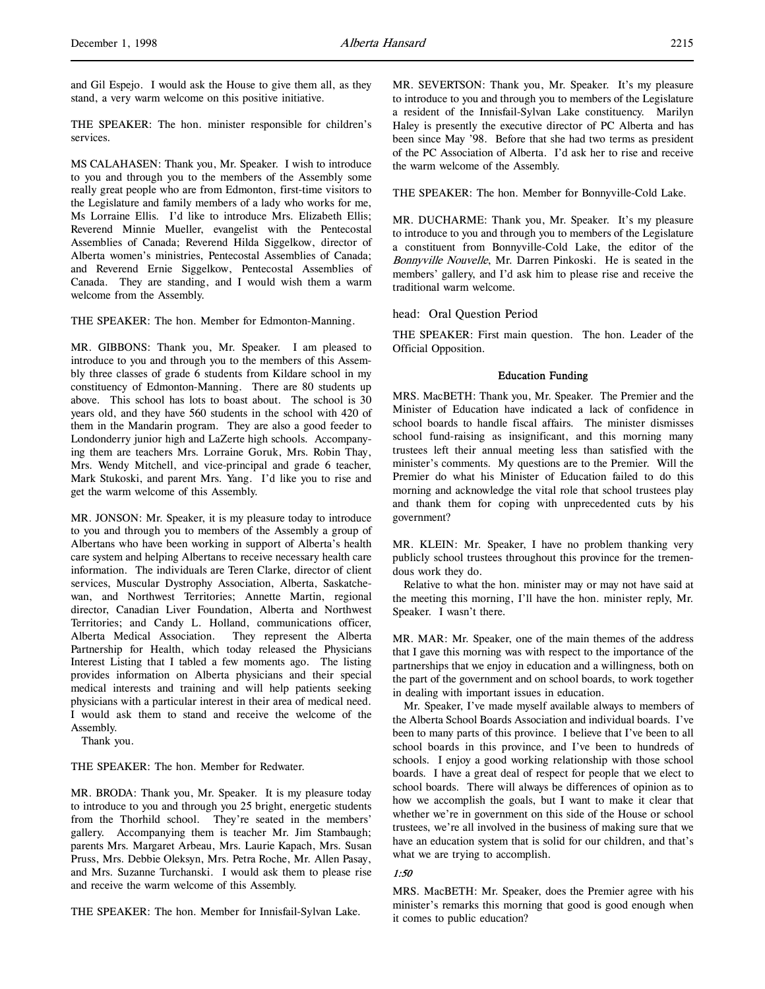and Gil Espejo. I would ask the House to give them all, as they stand, a very warm welcome on this positive initiative.

THE SPEAKER: The hon. minister responsible for children's services.

MS CALAHASEN: Thank you, Mr. Speaker. I wish to introduce to you and through you to the members of the Assembly some really great people who are from Edmonton, first-time visitors to the Legislature and family members of a lady who works for me, Ms Lorraine Ellis. I'd like to introduce Mrs. Elizabeth Ellis; Reverend Minnie Mueller, evangelist with the Pentecostal Assemblies of Canada; Reverend Hilda Siggelkow, director of Alberta women's ministries, Pentecostal Assemblies of Canada; and Reverend Ernie Siggelkow, Pentecostal Assemblies of Canada. They are standing, and I would wish them a warm welcome from the Assembly.

THE SPEAKER: The hon. Member for Edmonton-Manning.

MR. GIBBONS: Thank you, Mr. Speaker. I am pleased to introduce to you and through you to the members of this Assembly three classes of grade 6 students from Kildare school in my constituency of Edmonton-Manning. There are 80 students up above. This school has lots to boast about. The school is 30 years old, and they have 560 students in the school with 420 of them in the Mandarin program. They are also a good feeder to Londonderry junior high and LaZerte high schools. Accompanying them are teachers Mrs. Lorraine Goruk, Mrs. Robin Thay, Mrs. Wendy Mitchell, and vice-principal and grade 6 teacher, Mark Stukoski, and parent Mrs. Yang. I'd like you to rise and get the warm welcome of this Assembly.

MR. JONSON: Mr. Speaker, it is my pleasure today to introduce to you and through you to members of the Assembly a group of Albertans who have been working in support of Alberta's health care system and helping Albertans to receive necessary health care information. The individuals are Teren Clarke, director of client services, Muscular Dystrophy Association, Alberta, Saskatchewan, and Northwest Territories; Annette Martin, regional director, Canadian Liver Foundation, Alberta and Northwest Territories; and Candy L. Holland, communications officer, Alberta Medical Association. They represent the Alberta Partnership for Health, which today released the Physicians Interest Listing that I tabled a few moments ago. The listing provides information on Alberta physicians and their special medical interests and training and will help patients seeking physicians with a particular interest in their area of medical need. I would ask them to stand and receive the welcome of the Assembly.

Thank you.

THE SPEAKER: The hon. Member for Redwater.

MR. BRODA: Thank you, Mr. Speaker. It is my pleasure today to introduce to you and through you 25 bright, energetic students from the Thorhild school. They're seated in the members' gallery. Accompanying them is teacher Mr. Jim Stambaugh; parents Mrs. Margaret Arbeau, Mrs. Laurie Kapach, Mrs. Susan Pruss, Mrs. Debbie Oleksyn, Mrs. Petra Roche, Mr. Allen Pasay, and Mrs. Suzanne Turchanski. I would ask them to please rise and receive the warm welcome of this Assembly.

THE SPEAKER: The hon. Member for Innisfail-Sylvan Lake.

MR. SEVERTSON: Thank you, Mr. Speaker. It's my pleasure to introduce to you and through you to members of the Legislature a resident of the Innisfail-Sylvan Lake constituency. Marilyn Haley is presently the executive director of PC Alberta and has been since May '98. Before that she had two terms as president of the PC Association of Alberta. I'd ask her to rise and receive the warm welcome of the Assembly.

THE SPEAKER: The hon. Member for Bonnyville-Cold Lake.

MR. DUCHARME: Thank you, Mr. Speaker. It's my pleasure to introduce to you and through you to members of the Legislature a constituent from Bonnyville-Cold Lake, the editor of the Bonnyville Nouvelle, Mr. Darren Pinkoski. He is seated in the members' gallery, and I'd ask him to please rise and receive the traditional warm welcome.

head: Oral Question Period

THE SPEAKER: First main question. The hon. Leader of the Official Opposition.

#### Education Funding

MRS. MacBETH: Thank you, Mr. Speaker. The Premier and the Minister of Education have indicated a lack of confidence in school boards to handle fiscal affairs. The minister dismisses school fund-raising as insignificant, and this morning many trustees left their annual meeting less than satisfied with the minister's comments. My questions are to the Premier. Will the Premier do what his Minister of Education failed to do this morning and acknowledge the vital role that school trustees play and thank them for coping with unprecedented cuts by his government?

MR. KLEIN: Mr. Speaker, I have no problem thanking very publicly school trustees throughout this province for the tremendous work they do.

Relative to what the hon. minister may or may not have said at the meeting this morning, I'll have the hon. minister reply, Mr. Speaker. I wasn't there.

MR. MAR: Mr. Speaker, one of the main themes of the address that I gave this morning was with respect to the importance of the partnerships that we enjoy in education and a willingness, both on the part of the government and on school boards, to work together in dealing with important issues in education.

Mr. Speaker, I've made myself available always to members of the Alberta School Boards Association and individual boards. I've been to many parts of this province. I believe that I've been to all school boards in this province, and I've been to hundreds of schools. I enjoy a good working relationship with those school boards. I have a great deal of respect for people that we elect to school boards. There will always be differences of opinion as to how we accomplish the goals, but I want to make it clear that whether we're in government on this side of the House or school trustees, we're all involved in the business of making sure that we have an education system that is solid for our children, and that's what we are trying to accomplish.

# 1:50

MRS. MacBETH: Mr. Speaker, does the Premier agree with his minister's remarks this morning that good is good enough when it comes to public education?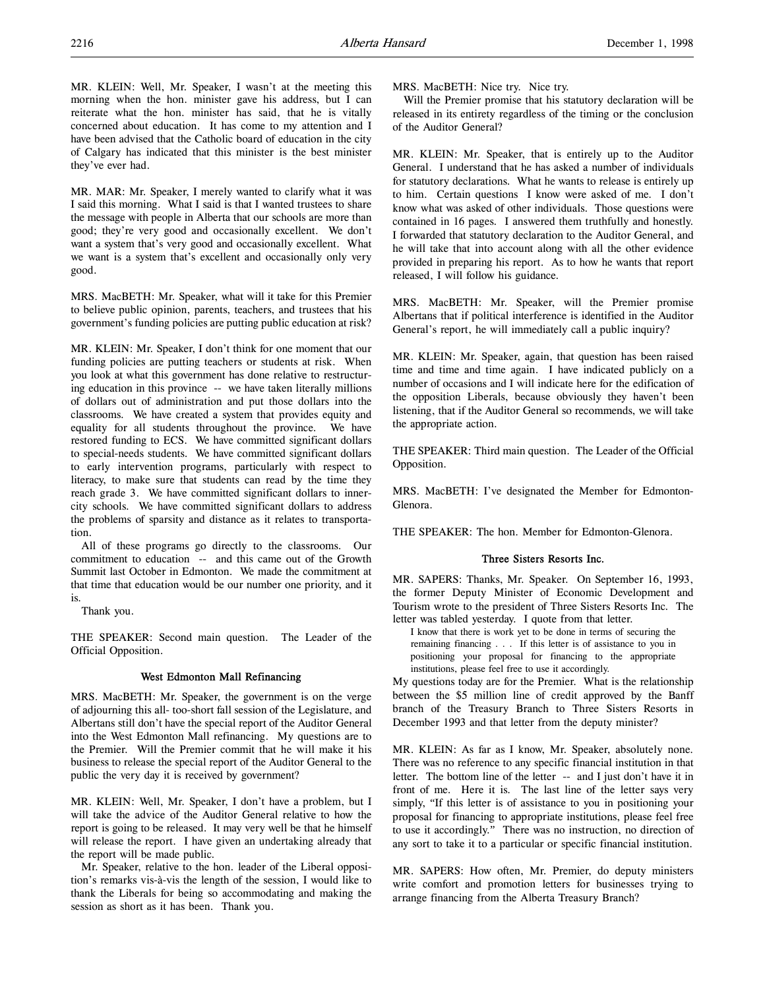MR. KLEIN: Well, Mr. Speaker, I wasn't at the meeting this morning when the hon. minister gave his address, but I can reiterate what the hon. minister has said, that he is vitally concerned about education. It has come to my attention and I have been advised that the Catholic board of education in the city of Calgary has indicated that this minister is the best minister they've ever had.

MR. MAR: Mr. Speaker, I merely wanted to clarify what it was I said this morning. What I said is that I wanted trustees to share the message with people in Alberta that our schools are more than good; they're very good and occasionally excellent. We don't want a system that's very good and occasionally excellent. What we want is a system that's excellent and occasionally only very good.

MRS. MacBETH: Mr. Speaker, what will it take for this Premier to believe public opinion, parents, teachers, and trustees that his government's funding policies are putting public education at risk?

MR. KLEIN: Mr. Speaker, I don't think for one moment that our funding policies are putting teachers or students at risk. When you look at what this government has done relative to restructuring education in this province -- we have taken literally millions of dollars out of administration and put those dollars into the classrooms. We have created a system that provides equity and equality for all students throughout the province. We have restored funding to ECS. We have committed significant dollars to special-needs students. We have committed significant dollars to early intervention programs, particularly with respect to literacy, to make sure that students can read by the time they reach grade 3. We have committed significant dollars to innercity schools. We have committed significant dollars to address the problems of sparsity and distance as it relates to transportation.

All of these programs go directly to the classrooms. Our commitment to education -- and this came out of the Growth Summit last October in Edmonton. We made the commitment at that time that education would be our number one priority, and it is.

Thank you.

THE SPEAKER: Second main question. The Leader of the Official Opposition.

# West Edmonton Mall Refinancing

MRS. MacBETH: Mr. Speaker, the government is on the verge of adjourning this all- too-short fall session of the Legislature, and Albertans still don't have the special report of the Auditor General into the West Edmonton Mall refinancing. My questions are to the Premier. Will the Premier commit that he will make it his business to release the special report of the Auditor General to the public the very day it is received by government?

MR. KLEIN: Well, Mr. Speaker, I don't have a problem, but I will take the advice of the Auditor General relative to how the report is going to be released. It may very well be that he himself will release the report. I have given an undertaking already that the report will be made public.

Mr. Speaker, relative to the hon. leader of the Liberal opposition's remarks vis-à-vis the length of the session, I would like to thank the Liberals for being so accommodating and making the session as short as it has been. Thank you.

MRS. MacBETH: Nice try. Nice try.

Will the Premier promise that his statutory declaration will be released in its entirety regardless of the timing or the conclusion of the Auditor General?

MR. KLEIN: Mr. Speaker, that is entirely up to the Auditor General. I understand that he has asked a number of individuals for statutory declarations. What he wants to release is entirely up to him. Certain questions I know were asked of me. I don't know what was asked of other individuals. Those questions were contained in 16 pages. I answered them truthfully and honestly. I forwarded that statutory declaration to the Auditor General, and he will take that into account along with all the other evidence provided in preparing his report. As to how he wants that report released, I will follow his guidance.

MRS. MacBETH: Mr. Speaker, will the Premier promise Albertans that if political interference is identified in the Auditor General's report, he will immediately call a public inquiry?

MR. KLEIN: Mr. Speaker, again, that question has been raised time and time and time again. I have indicated publicly on a number of occasions and I will indicate here for the edification of the opposition Liberals, because obviously they haven't been listening, that if the Auditor General so recommends, we will take the appropriate action.

THE SPEAKER: Third main question. The Leader of the Official Opposition.

MRS. MacBETH: I've designated the Member for Edmonton-Glenora.

THE SPEAKER: The hon. Member for Edmonton-Glenora.

# Three Sisters Resorts Inc.

MR. SAPERS: Thanks, Mr. Speaker. On September 16, 1993, the former Deputy Minister of Economic Development and Tourism wrote to the president of Three Sisters Resorts Inc. The letter was tabled yesterday. I quote from that letter.

I know that there is work yet to be done in terms of securing the remaining financing . . . If this letter is of assistance to you in positioning your proposal for financing to the appropriate institutions, please feel free to use it accordingly.

My questions today are for the Premier. What is the relationship between the \$5 million line of credit approved by the Banff branch of the Treasury Branch to Three Sisters Resorts in December 1993 and that letter from the deputy minister?

MR. KLEIN: As far as I know, Mr. Speaker, absolutely none. There was no reference to any specific financial institution in that letter. The bottom line of the letter -- and I just don't have it in front of me. Here it is. The last line of the letter says very simply, "If this letter is of assistance to you in positioning your proposal for financing to appropriate institutions, please feel free to use it accordingly." There was no instruction, no direction of any sort to take it to a particular or specific financial institution.

MR. SAPERS: How often, Mr. Premier, do deputy ministers write comfort and promotion letters for businesses trying to arrange financing from the Alberta Treasury Branch?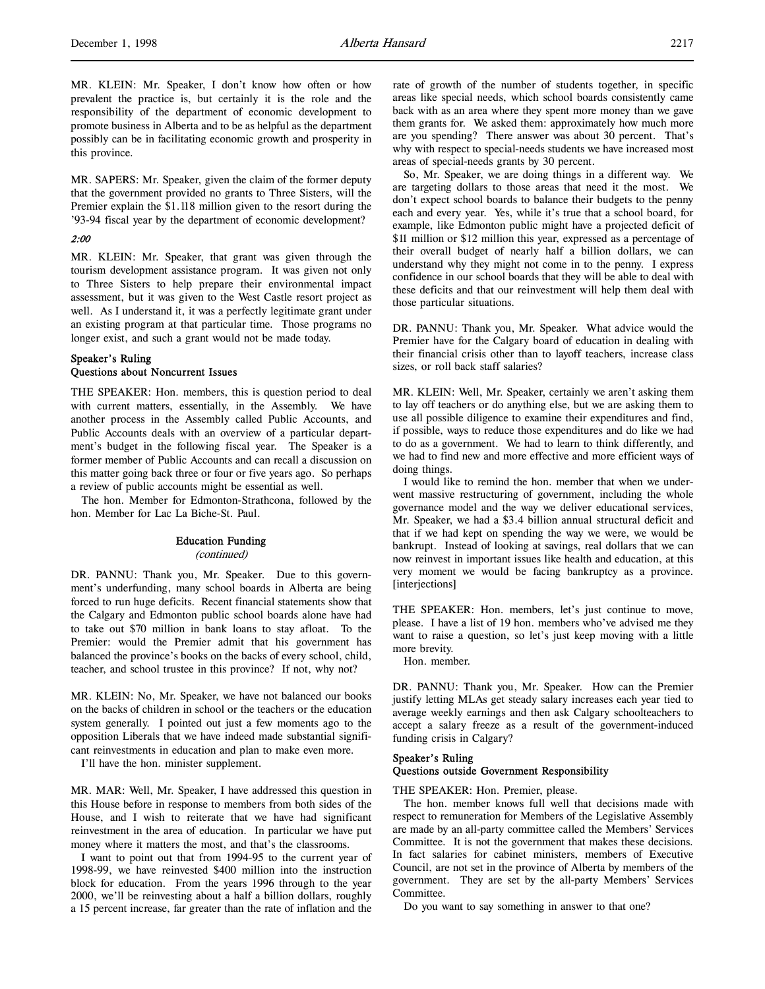MR. SAPERS: Mr. Speaker, given the claim of the former deputy that the government provided no grants to Three Sisters, will the Premier explain the \$1.118 million given to the resort during the '93-94 fiscal year by the department of economic development?

# 2:00

MR. KLEIN: Mr. Speaker, that grant was given through the tourism development assistance program. It was given not only to Three Sisters to help prepare their environmental impact assessment, but it was given to the West Castle resort project as well. As I understand it, it was a perfectly legitimate grant under an existing program at that particular time. Those programs no longer exist, and such a grant would not be made today.

# Speaker's Ruling Questions about Noncurrent Issues

THE SPEAKER: Hon. members, this is question period to deal with current matters, essentially, in the Assembly. We have another process in the Assembly called Public Accounts, and Public Accounts deals with an overview of a particular department's budget in the following fiscal year. The Speaker is a former member of Public Accounts and can recall a discussion on this matter going back three or four or five years ago. So perhaps a review of public accounts might be essential as well.

The hon. Member for Edmonton-Strathcona, followed by the hon. Member for Lac La Biche-St. Paul.

# Education Funding

#### (continued)

DR. PANNU: Thank you, Mr. Speaker. Due to this government's underfunding, many school boards in Alberta are being forced to run huge deficits. Recent financial statements show that the Calgary and Edmonton public school boards alone have had to take out \$70 million in bank loans to stay afloat. To the Premier: would the Premier admit that his government has balanced the province's books on the backs of every school, child, teacher, and school trustee in this province? If not, why not?

MR. KLEIN: No, Mr. Speaker, we have not balanced our books on the backs of children in school or the teachers or the education system generally. I pointed out just a few moments ago to the opposition Liberals that we have indeed made substantial significant reinvestments in education and plan to make even more.

I'll have the hon. minister supplement.

MR. MAR: Well, Mr. Speaker, I have addressed this question in this House before in response to members from both sides of the House, and I wish to reiterate that we have had significant reinvestment in the area of education. In particular we have put money where it matters the most, and that's the classrooms.

I want to point out that from 1994-95 to the current year of 1998-99, we have reinvested \$400 million into the instruction block for education. From the years 1996 through to the year 2000, we'll be reinvesting about a half a billion dollars, roughly a 15 percent increase, far greater than the rate of inflation and the

rate of growth of the number of students together, in specific areas like special needs, which school boards consistently came back with as an area where they spent more money than we gave them grants for. We asked them: approximately how much more are you spending? There answer was about 30 percent. That's why with respect to special-needs students we have increased most areas of special-needs grants by 30 percent.

So, Mr. Speaker, we are doing things in a different way. We are targeting dollars to those areas that need it the most. We don't expect school boards to balance their budgets to the penny each and every year. Yes, while it's true that a school board, for example, like Edmonton public might have a projected deficit of \$11 million or \$12 million this year, expressed as a percentage of their overall budget of nearly half a billion dollars, we can understand why they might not come in to the penny. I express confidence in our school boards that they will be able to deal with these deficits and that our reinvestment will help them deal with those particular situations.

DR. PANNU: Thank you, Mr. Speaker. What advice would the Premier have for the Calgary board of education in dealing with their financial crisis other than to layoff teachers, increase class sizes, or roll back staff salaries?

MR. KLEIN: Well, Mr. Speaker, certainly we aren't asking them to lay off teachers or do anything else, but we are asking them to use all possible diligence to examine their expenditures and find, if possible, ways to reduce those expenditures and do like we had to do as a government. We had to learn to think differently, and we had to find new and more effective and more efficient ways of doing things.

I would like to remind the hon. member that when we underwent massive restructuring of government, including the whole governance model and the way we deliver educational services, Mr. Speaker, we had a \$3.4 billion annual structural deficit and that if we had kept on spending the way we were, we would be bankrupt. Instead of looking at savings, real dollars that we can now reinvest in important issues like health and education, at this very moment we would be facing bankruptcy as a province. [interjections]

THE SPEAKER: Hon. members, let's just continue to move, please. I have a list of 19 hon. members who've advised me they want to raise a question, so let's just keep moving with a little more brevity.

Hon. member.

DR. PANNU: Thank you, Mr. Speaker. How can the Premier justify letting MLAs get steady salary increases each year tied to average weekly earnings and then ask Calgary schoolteachers to accept a salary freeze as a result of the government-induced funding crisis in Calgary?

# Speaker's Ruling Questions outside Government Responsibility

THE SPEAKER: Hon. Premier, please.

The hon. member knows full well that decisions made with respect to remuneration for Members of the Legislative Assembly are made by an all-party committee called the Members' Services Committee. It is not the government that makes these decisions. In fact salaries for cabinet ministers, members of Executive Council, are not set in the province of Alberta by members of the government. They are set by the all-party Members' Services Committee.

Do you want to say something in answer to that one?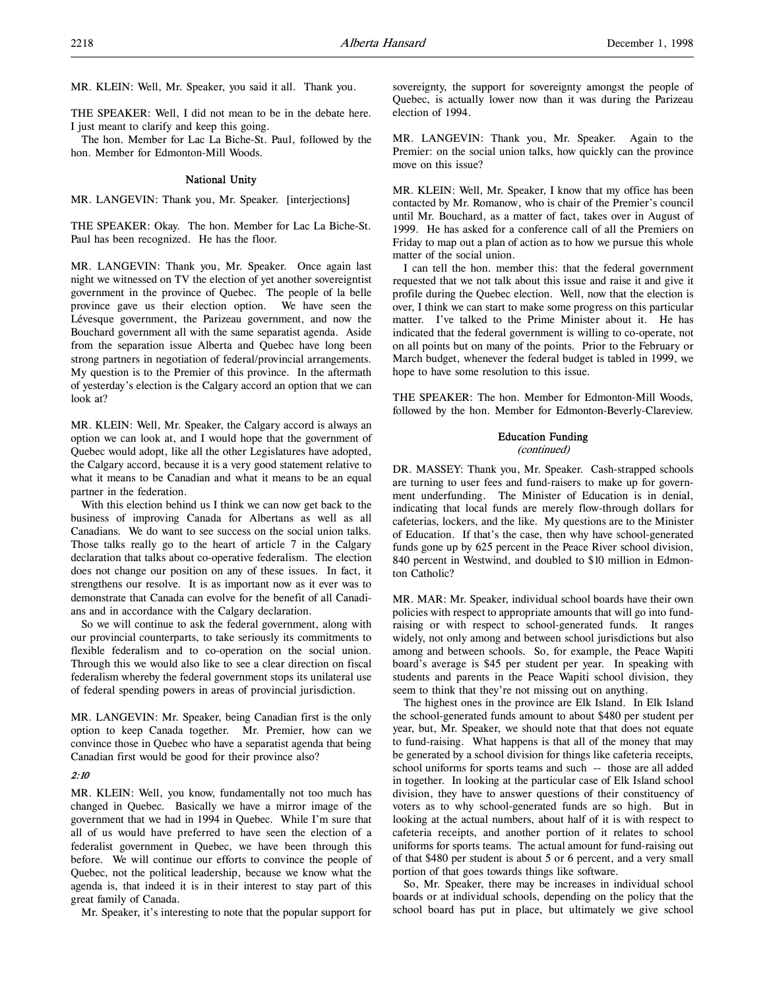MR. KLEIN: Well, Mr. Speaker, you said it all. Thank you.

THE SPEAKER: Well, I did not mean to be in the debate here. I just meant to clarify and keep this going.

The hon. Member for Lac La Biche-St. Paul, followed by the hon. Member for Edmonton-Mill Woods.

# National Unity

MR. LANGEVIN: Thank you, Mr. Speaker. [interjections]

THE SPEAKER: Okay. The hon. Member for Lac La Biche-St. Paul has been recognized. He has the floor.

MR. LANGEVIN: Thank you, Mr. Speaker. Once again last night we witnessed on TV the election of yet another sovereigntist government in the province of Quebec. The people of la belle province gave us their election option. We have seen the Lévesque government, the Parizeau government, and now the Bouchard government all with the same separatist agenda. Aside from the separation issue Alberta and Quebec have long been strong partners in negotiation of federal/provincial arrangements. My question is to the Premier of this province. In the aftermath of yesterday's election is the Calgary accord an option that we can look at?

MR. KLEIN: Well, Mr. Speaker, the Calgary accord is always an option we can look at, and I would hope that the government of Quebec would adopt, like all the other Legislatures have adopted, the Calgary accord, because it is a very good statement relative to what it means to be Canadian and what it means to be an equal partner in the federation.

With this election behind us I think we can now get back to the business of improving Canada for Albertans as well as all Canadians. We do want to see success on the social union talks. Those talks really go to the heart of article 7 in the Calgary declaration that talks about co-operative federalism. The election does not change our position on any of these issues. In fact, it strengthens our resolve. It is as important now as it ever was to demonstrate that Canada can evolve for the benefit of all Canadians and in accordance with the Calgary declaration.

So we will continue to ask the federal government, along with our provincial counterparts, to take seriously its commitments to flexible federalism and to co-operation on the social union. Through this we would also like to see a clear direction on fiscal federalism whereby the federal government stops its unilateral use of federal spending powers in areas of provincial jurisdiction.

MR. LANGEVIN: Mr. Speaker, being Canadian first is the only option to keep Canada together. Mr. Premier, how can we convince those in Quebec who have a separatist agenda that being Canadian first would be good for their province also?

## 2:10

MR. KLEIN: Well, you know, fundamentally not too much has changed in Quebec. Basically we have a mirror image of the government that we had in 1994 in Quebec. While I'm sure that all of us would have preferred to have seen the election of a federalist government in Quebec, we have been through this before. We will continue our efforts to convince the people of Quebec, not the political leadership, because we know what the agenda is, that indeed it is in their interest to stay part of this great family of Canada.

Mr. Speaker, it's interesting to note that the popular support for

sovereignty, the support for sovereignty amongst the people of Quebec, is actually lower now than it was during the Parizeau election of 1994.

MR. LANGEVIN: Thank you, Mr. Speaker. Again to the Premier: on the social union talks, how quickly can the province move on this issue?

MR. KLEIN: Well, Mr. Speaker, I know that my office has been contacted by Mr. Romanow, who is chair of the Premier's council until Mr. Bouchard, as a matter of fact, takes over in August of 1999. He has asked for a conference call of all the Premiers on Friday to map out a plan of action as to how we pursue this whole matter of the social union.

I can tell the hon. member this: that the federal government requested that we not talk about this issue and raise it and give it profile during the Quebec election. Well, now that the election is over, I think we can start to make some progress on this particular matter. I've talked to the Prime Minister about it. He has indicated that the federal government is willing to co-operate, not on all points but on many of the points. Prior to the February or March budget, whenever the federal budget is tabled in 1999, we hope to have some resolution to this issue.

THE SPEAKER: The hon. Member for Edmonton-Mill Woods, followed by the hon. Member for Edmonton-Beverly-Clareview.

#### Education Funding

#### (continued)

DR. MASSEY: Thank you, Mr. Speaker. Cash-strapped schools are turning to user fees and fund-raisers to make up for government underfunding. The Minister of Education is in denial, indicating that local funds are merely flow-through dollars for cafeterias, lockers, and the like. My questions are to the Minister of Education. If that's the case, then why have school-generated funds gone up by 625 percent in the Peace River school division, 840 percent in Westwind, and doubled to \$10 million in Edmonton Catholic?

MR. MAR: Mr. Speaker, individual school boards have their own policies with respect to appropriate amounts that will go into fundraising or with respect to school-generated funds. It ranges widely, not only among and between school jurisdictions but also among and between schools. So, for example, the Peace Wapiti board's average is \$45 per student per year. In speaking with students and parents in the Peace Wapiti school division, they seem to think that they're not missing out on anything.

The highest ones in the province are Elk Island. In Elk Island the school-generated funds amount to about \$480 per student per year, but, Mr. Speaker, we should note that that does not equate to fund-raising. What happens is that all of the money that may be generated by a school division for things like cafeteria receipts, school uniforms for sports teams and such -- those are all added in together. In looking at the particular case of Elk Island school division, they have to answer questions of their constituency of voters as to why school-generated funds are so high. But in looking at the actual numbers, about half of it is with respect to cafeteria receipts, and another portion of it relates to school uniforms for sports teams. The actual amount for fund-raising out of that \$480 per student is about 5 or 6 percent, and a very small portion of that goes towards things like software.

So, Mr. Speaker, there may be increases in individual school boards or at individual schools, depending on the policy that the school board has put in place, but ultimately we give school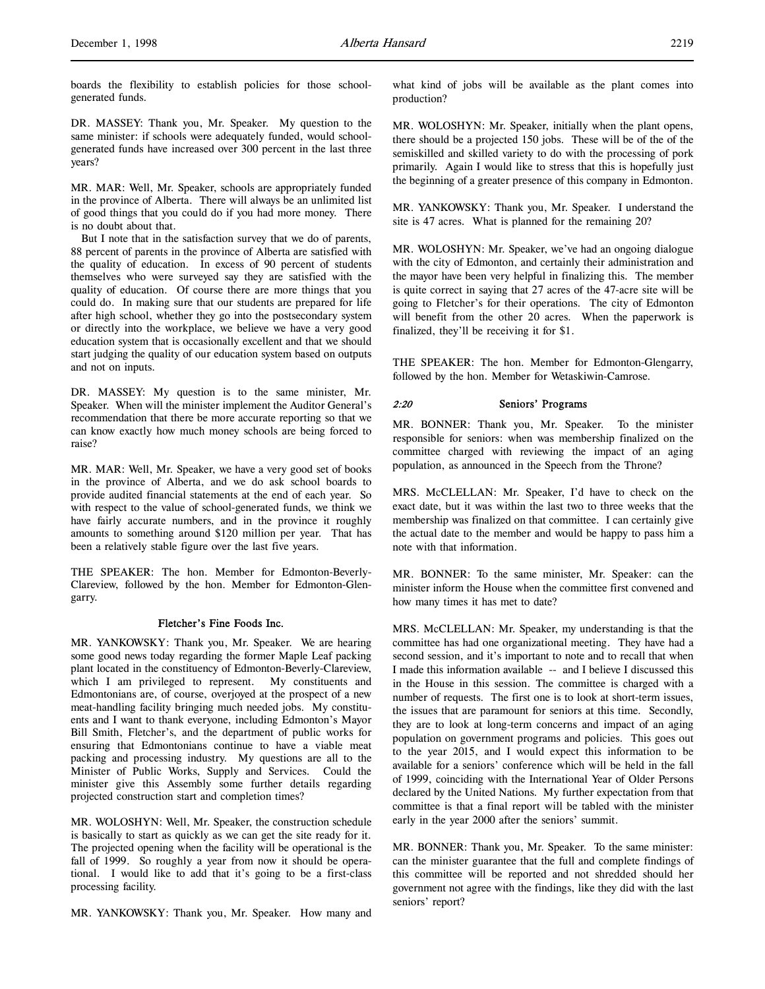boards the flexibility to establish policies for those schoolgenerated funds.

DR. MASSEY: Thank you, Mr. Speaker. My question to the same minister: if schools were adequately funded, would schoolgenerated funds have increased over 300 percent in the last three years?

MR. MAR: Well, Mr. Speaker, schools are appropriately funded in the province of Alberta. There will always be an unlimited list of good things that you could do if you had more money. There is no doubt about that.

But I note that in the satisfaction survey that we do of parents, 88 percent of parents in the province of Alberta are satisfied with the quality of education. In excess of 90 percent of students themselves who were surveyed say they are satisfied with the quality of education. Of course there are more things that you could do. In making sure that our students are prepared for life after high school, whether they go into the postsecondary system or directly into the workplace, we believe we have a very good education system that is occasionally excellent and that we should start judging the quality of our education system based on outputs and not on inputs.

DR. MASSEY: My question is to the same minister, Mr. Speaker. When will the minister implement the Auditor General's recommendation that there be more accurate reporting so that we can know exactly how much money schools are being forced to raise?

MR. MAR: Well, Mr. Speaker, we have a very good set of books in the province of Alberta, and we do ask school boards to provide audited financial statements at the end of each year. So with respect to the value of school-generated funds, we think we have fairly accurate numbers, and in the province it roughly amounts to something around \$120 million per year. That has been a relatively stable figure over the last five years.

THE SPEAKER: The hon. Member for Edmonton-Beverly-Clareview, followed by the hon. Member for Edmonton-Glengarry.

## Fletcher's Fine Foods Inc.

MR. YANKOWSKY: Thank you, Mr. Speaker. We are hearing some good news today regarding the former Maple Leaf packing plant located in the constituency of Edmonton-Beverly-Clareview, which I am privileged to represent. My constituents and Edmontonians are, of course, overjoyed at the prospect of a new meat-handling facility bringing much needed jobs. My constituents and I want to thank everyone, including Edmonton's Mayor Bill Smith, Fletcher's, and the department of public works for ensuring that Edmontonians continue to have a viable meat packing and processing industry. My questions are all to the Minister of Public Works, Supply and Services. Could the minister give this Assembly some further details regarding projected construction start and completion times?

MR. WOLOSHYN: Well, Mr. Speaker, the construction schedule is basically to start as quickly as we can get the site ready for it. The projected opening when the facility will be operational is the fall of 1999. So roughly a year from now it should be operational. I would like to add that it's going to be a first-class processing facility.

MR. YANKOWSKY: Thank you, Mr. Speaker. How many and

what kind of jobs will be available as the plant comes into production?

MR. WOLOSHYN: Mr. Speaker, initially when the plant opens, there should be a projected 150 jobs. These will be of the of the semiskilled and skilled variety to do with the processing of pork primarily. Again I would like to stress that this is hopefully just the beginning of a greater presence of this company in Edmonton.

MR. YANKOWSKY: Thank you, Mr. Speaker. I understand the site is 47 acres. What is planned for the remaining 20?

MR. WOLOSHYN: Mr. Speaker, we've had an ongoing dialogue with the city of Edmonton, and certainly their administration and the mayor have been very helpful in finalizing this. The member is quite correct in saying that 27 acres of the 47-acre site will be going to Fletcher's for their operations. The city of Edmonton will benefit from the other 20 acres. When the paperwork is finalized, they'll be receiving it for \$1.

THE SPEAKER: The hon. Member for Edmonton-Glengarry, followed by the hon. Member for Wetaskiwin-Camrose.

## 2:20 Seniors' Programs

MR. BONNER: Thank you, Mr. Speaker. To the minister responsible for seniors: when was membership finalized on the committee charged with reviewing the impact of an aging population, as announced in the Speech from the Throne?

MRS. McCLELLAN: Mr. Speaker, I'd have to check on the exact date, but it was within the last two to three weeks that the membership was finalized on that committee. I can certainly give the actual date to the member and would be happy to pass him a note with that information.

MR. BONNER: To the same minister, Mr. Speaker: can the minister inform the House when the committee first convened and how many times it has met to date?

MRS. McCLELLAN: Mr. Speaker, my understanding is that the committee has had one organizational meeting. They have had a second session, and it's important to note and to recall that when I made this information available -- and I believe I discussed this in the House in this session. The committee is charged with a number of requests. The first one is to look at short-term issues, the issues that are paramount for seniors at this time. Secondly, they are to look at long-term concerns and impact of an aging population on government programs and policies. This goes out to the year 2015, and I would expect this information to be available for a seniors' conference which will be held in the fall of 1999, coinciding with the International Year of Older Persons declared by the United Nations. My further expectation from that committee is that a final report will be tabled with the minister early in the year 2000 after the seniors' summit.

MR. BONNER: Thank you, Mr. Speaker. To the same minister: can the minister guarantee that the full and complete findings of this committee will be reported and not shredded should her government not agree with the findings, like they did with the last seniors' report?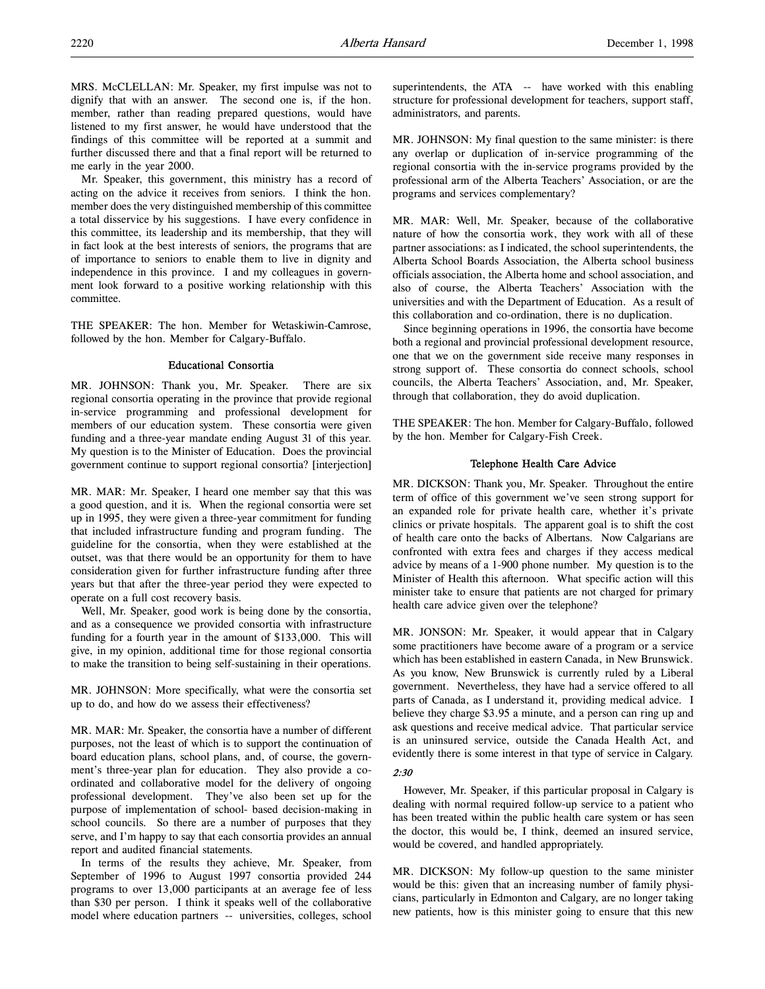Mr. Speaker, this government, this ministry has a record of acting on the advice it receives from seniors. I think the hon. member does the very distinguished membership of this committee a total disservice by his suggestions. I have every confidence in this committee, its leadership and its membership, that they will in fact look at the best interests of seniors, the programs that are of importance to seniors to enable them to live in dignity and independence in this province. I and my colleagues in government look forward to a positive working relationship with this committee.

THE SPEAKER: The hon. Member for Wetaskiwin-Camrose, followed by the hon. Member for Calgary-Buffalo.

# Educational Consortia

MR. JOHNSON: Thank you, Mr. Speaker. There are six regional consortia operating in the province that provide regional in-service programming and professional development for members of our education system. These consortia were given funding and a three-year mandate ending August 31 of this year. My question is to the Minister of Education. Does the provincial government continue to support regional consortia? [interjection]

MR. MAR: Mr. Speaker, I heard one member say that this was a good question, and it is. When the regional consortia were set up in 1995, they were given a three-year commitment for funding that included infrastructure funding and program funding. The guideline for the consortia, when they were established at the outset, was that there would be an opportunity for them to have consideration given for further infrastructure funding after three years but that after the three-year period they were expected to operate on a full cost recovery basis.

Well, Mr. Speaker, good work is being done by the consortia, and as a consequence we provided consortia with infrastructure funding for a fourth year in the amount of \$133,000. This will give, in my opinion, additional time for those regional consortia to make the transition to being self-sustaining in their operations.

MR. JOHNSON: More specifically, what were the consortia set up to do, and how do we assess their effectiveness?

MR. MAR: Mr. Speaker, the consortia have a number of different purposes, not the least of which is to support the continuation of board education plans, school plans, and, of course, the government's three-year plan for education. They also provide a coordinated and collaborative model for the delivery of ongoing professional development. They've also been set up for the purpose of implementation of school- based decision-making in school councils. So there are a number of purposes that they serve, and I'm happy to say that each consortia provides an annual report and audited financial statements.

In terms of the results they achieve, Mr. Speaker, from September of 1996 to August 1997 consortia provided 244 programs to over 13,000 participants at an average fee of less than \$30 per person. I think it speaks well of the collaborative model where education partners -- universities, colleges, school superintendents, the ATA -- have worked with this enabling structure for professional development for teachers, support staff, administrators, and parents.

MR. JOHNSON: My final question to the same minister: is there any overlap or duplication of in-service programming of the regional consortia with the in-service programs provided by the professional arm of the Alberta Teachers' Association, or are the programs and services complementary?

MR. MAR: Well, Mr. Speaker, because of the collaborative nature of how the consortia work, they work with all of these partner associations: as I indicated, the school superintendents, the Alberta School Boards Association, the Alberta school business officials association, the Alberta home and school association, and also of course, the Alberta Teachers' Association with the universities and with the Department of Education. As a result of this collaboration and co-ordination, there is no duplication.

Since beginning operations in 1996, the consortia have become both a regional and provincial professional development resource, one that we on the government side receive many responses in strong support of. These consortia do connect schools, school councils, the Alberta Teachers' Association, and, Mr. Speaker, through that collaboration, they do avoid duplication.

THE SPEAKER: The hon. Member for Calgary-Buffalo, followed by the hon. Member for Calgary-Fish Creek.

## Telephone Health Care Advice

MR. DICKSON: Thank you, Mr. Speaker. Throughout the entire term of office of this government we've seen strong support for an expanded role for private health care, whether it's private clinics or private hospitals. The apparent goal is to shift the cost of health care onto the backs of Albertans. Now Calgarians are confronted with extra fees and charges if they access medical advice by means of a 1-900 phone number. My question is to the Minister of Health this afternoon. What specific action will this minister take to ensure that patients are not charged for primary health care advice given over the telephone?

MR. JONSON: Mr. Speaker, it would appear that in Calgary some practitioners have become aware of a program or a service which has been established in eastern Canada, in New Brunswick. As you know, New Brunswick is currently ruled by a Liberal government. Nevertheless, they have had a service offered to all parts of Canada, as I understand it, providing medical advice. I believe they charge \$3.95 a minute, and a person can ring up and ask questions and receive medical advice. That particular service is an uninsured service, outside the Canada Health Act, and evidently there is some interest in that type of service in Calgary.

# 2:30

However, Mr. Speaker, if this particular proposal in Calgary is dealing with normal required follow-up service to a patient who has been treated within the public health care system or has seen the doctor, this would be, I think, deemed an insured service, would be covered, and handled appropriately.

MR. DICKSON: My follow-up question to the same minister would be this: given that an increasing number of family physicians, particularly in Edmonton and Calgary, are no longer taking new patients, how is this minister going to ensure that this new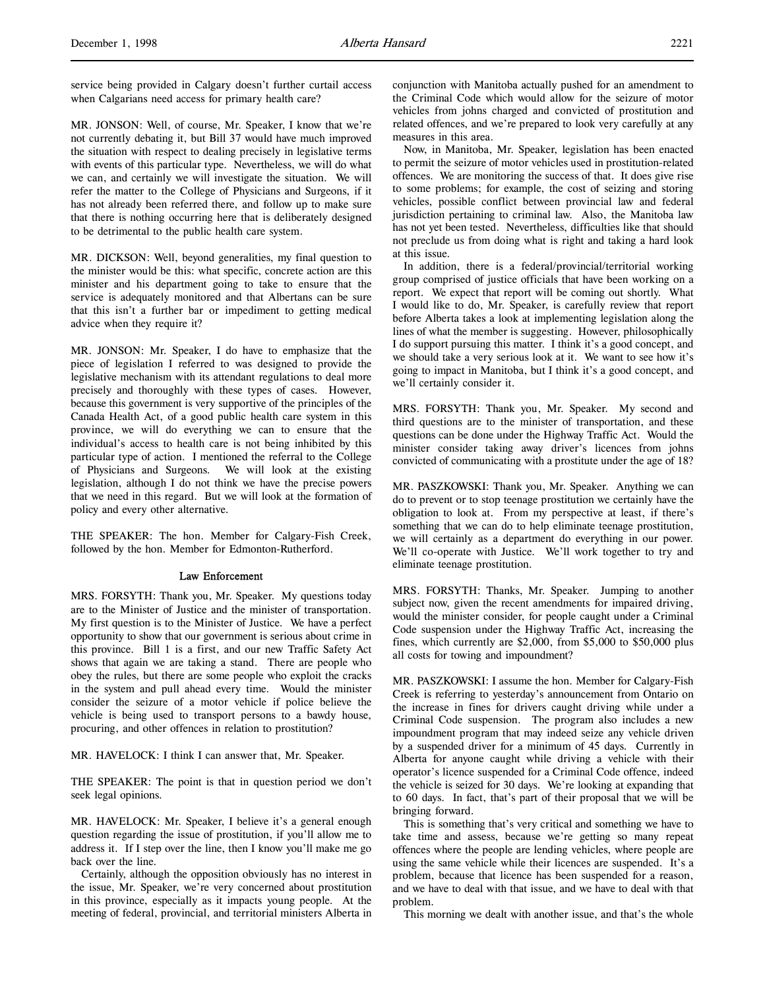service being provided in Calgary doesn't further curtail access when Calgarians need access for primary health care?

MR. JONSON: Well, of course, Mr. Speaker, I know that we're not currently debating it, but Bill 37 would have much improved the situation with respect to dealing precisely in legislative terms with events of this particular type. Nevertheless, we will do what we can, and certainly we will investigate the situation. We will refer the matter to the College of Physicians and Surgeons, if it has not already been referred there, and follow up to make sure that there is nothing occurring here that is deliberately designed to be detrimental to the public health care system.

MR. DICKSON: Well, beyond generalities, my final question to the minister would be this: what specific, concrete action are this minister and his department going to take to ensure that the service is adequately monitored and that Albertans can be sure that this isn't a further bar or impediment to getting medical advice when they require it?

MR. JONSON: Mr. Speaker, I do have to emphasize that the piece of legislation I referred to was designed to provide the legislative mechanism with its attendant regulations to deal more precisely and thoroughly with these types of cases. However, because this government is very supportive of the principles of the Canada Health Act, of a good public health care system in this province, we will do everything we can to ensure that the individual's access to health care is not being inhibited by this particular type of action. I mentioned the referral to the College of Physicians and Surgeons. We will look at the existing legislation, although I do not think we have the precise powers that we need in this regard. But we will look at the formation of policy and every other alternative.

THE SPEAKER: The hon. Member for Calgary-Fish Creek, followed by the hon. Member for Edmonton-Rutherford.

## Law Enforcement

MRS. FORSYTH: Thank you, Mr. Speaker. My questions today are to the Minister of Justice and the minister of transportation. My first question is to the Minister of Justice. We have a perfect opportunity to show that our government is serious about crime in this province. Bill 1 is a first, and our new Traffic Safety Act shows that again we are taking a stand. There are people who obey the rules, but there are some people who exploit the cracks in the system and pull ahead every time. Would the minister consider the seizure of a motor vehicle if police believe the vehicle is being used to transport persons to a bawdy house, procuring, and other offences in relation to prostitution?

MR. HAVELOCK: I think I can answer that, Mr. Speaker.

THE SPEAKER: The point is that in question period we don't seek legal opinions.

MR. HAVELOCK: Mr. Speaker, I believe it's a general enough question regarding the issue of prostitution, if you'll allow me to address it. If I step over the line, then I know you'll make me go back over the line.

Certainly, although the opposition obviously has no interest in the issue, Mr. Speaker, we're very concerned about prostitution in this province, especially as it impacts young people. At the meeting of federal, provincial, and territorial ministers Alberta in conjunction with Manitoba actually pushed for an amendment to the Criminal Code which would allow for the seizure of motor vehicles from johns charged and convicted of prostitution and related offences, and we're prepared to look very carefully at any measures in this area.

Now, in Manitoba, Mr. Speaker, legislation has been enacted to permit the seizure of motor vehicles used in prostitution-related offences. We are monitoring the success of that. It does give rise to some problems; for example, the cost of seizing and storing vehicles, possible conflict between provincial law and federal jurisdiction pertaining to criminal law. Also, the Manitoba law has not yet been tested. Nevertheless, difficulties like that should not preclude us from doing what is right and taking a hard look at this issue.

In addition, there is a federal/provincial/territorial working group comprised of justice officials that have been working on a report. We expect that report will be coming out shortly. What I would like to do, Mr. Speaker, is carefully review that report before Alberta takes a look at implementing legislation along the lines of what the member is suggesting. However, philosophically I do support pursuing this matter. I think it's a good concept, and we should take a very serious look at it. We want to see how it's going to impact in Manitoba, but I think it's a good concept, and we'll certainly consider it.

MRS. FORSYTH: Thank you, Mr. Speaker. My second and third questions are to the minister of transportation, and these questions can be done under the Highway Traffic Act. Would the minister consider taking away driver's licences from johns convicted of communicating with a prostitute under the age of 18?

MR. PASZKOWSKI: Thank you, Mr. Speaker. Anything we can do to prevent or to stop teenage prostitution we certainly have the obligation to look at. From my perspective at least, if there's something that we can do to help eliminate teenage prostitution, we will certainly as a department do everything in our power. We'll co-operate with Justice. We'll work together to try and eliminate teenage prostitution.

MRS. FORSYTH: Thanks, Mr. Speaker. Jumping to another subject now, given the recent amendments for impaired driving, would the minister consider, for people caught under a Criminal Code suspension under the Highway Traffic Act, increasing the fines, which currently are \$2,000, from \$5,000 to \$50,000 plus all costs for towing and impoundment?

MR. PASZKOWSKI: I assume the hon. Member for Calgary-Fish Creek is referring to yesterday's announcement from Ontario on the increase in fines for drivers caught driving while under a Criminal Code suspension. The program also includes a new impoundment program that may indeed seize any vehicle driven by a suspended driver for a minimum of 45 days. Currently in Alberta for anyone caught while driving a vehicle with their operator's licence suspended for a Criminal Code offence, indeed the vehicle is seized for 30 days. We're looking at expanding that to 60 days. In fact, that's part of their proposal that we will be bringing forward.

This is something that's very critical and something we have to take time and assess, because we're getting so many repeat offences where the people are lending vehicles, where people are using the same vehicle while their licences are suspended. It's a problem, because that licence has been suspended for a reason, and we have to deal with that issue, and we have to deal with that problem.

This morning we dealt with another issue, and that's the whole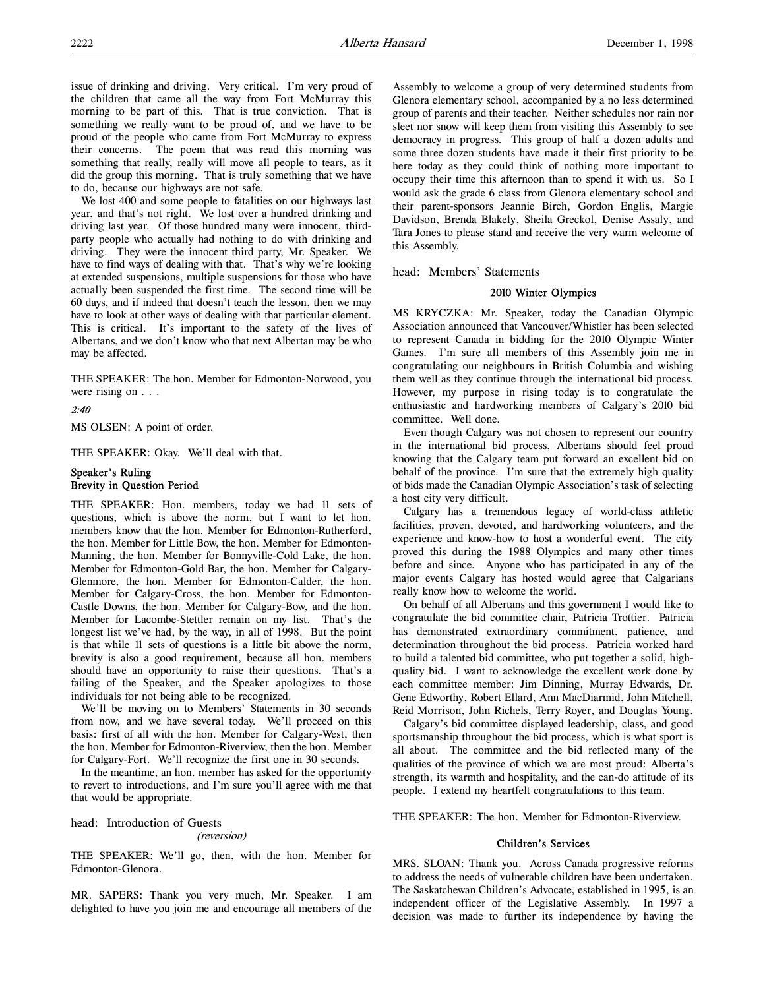issue of drinking and driving. Very critical. I'm very proud of the children that came all the way from Fort McMurray this morning to be part of this. That is true conviction. That is something we really want to be proud of, and we have to be proud of the people who came from Fort McMurray to express their concerns. The poem that was read this morning was something that really, really will move all people to tears, as it did the group this morning. That is truly something that we have to do, because our highways are not safe.

We lost 400 and some people to fatalities on our highways last year, and that's not right. We lost over a hundred drinking and driving last year. Of those hundred many were innocent, thirdparty people who actually had nothing to do with drinking and driving. They were the innocent third party, Mr. Speaker. We have to find ways of dealing with that. That's why we're looking at extended suspensions, multiple suspensions for those who have actually been suspended the first time. The second time will be 60 days, and if indeed that doesn't teach the lesson, then we may have to look at other ways of dealing with that particular element. This is critical. It's important to the safety of the lives of Albertans, and we don't know who that next Albertan may be who may be affected.

THE SPEAKER: The hon. Member for Edmonton-Norwood, you were rising on . . .

# 2:40

MS OLSEN: A point of order.

THE SPEAKER: Okay. We'll deal with that.

# Speaker's Ruling Brevity in Question Period

THE SPEAKER: Hon. members, today we had 11 sets of questions, which is above the norm, but I want to let hon. members know that the hon. Member for Edmonton-Rutherford, the hon. Member for Little Bow, the hon. Member for Edmonton-Manning, the hon. Member for Bonnyville-Cold Lake, the hon. Member for Edmonton-Gold Bar, the hon. Member for Calgary-Glenmore, the hon. Member for Edmonton-Calder, the hon. Member for Calgary-Cross, the hon. Member for Edmonton-Castle Downs, the hon. Member for Calgary-Bow, and the hon. Member for Lacombe-Stettler remain on my list. That's the longest list we've had, by the way, in all of 1998. But the point is that while 11 sets of questions is a little bit above the norm, brevity is also a good requirement, because all hon. members should have an opportunity to raise their questions. That's a failing of the Speaker, and the Speaker apologizes to those individuals for not being able to be recognized.

We'll be moving on to Members' Statements in 30 seconds from now, and we have several today. We'll proceed on this basis: first of all with the hon. Member for Calgary-West, then the hon. Member for Edmonton-Riverview, then the hon. Member for Calgary-Fort. We'll recognize the first one in 30 seconds.

In the meantime, an hon. member has asked for the opportunity to revert to introductions, and I'm sure you'll agree with me that that would be appropriate.

head: Introduction of Guests

## (reversion)

THE SPEAKER: We'll go, then, with the hon. Member for Edmonton-Glenora.

MR. SAPERS: Thank you very much, Mr. Speaker. I am delighted to have you join me and encourage all members of the

Assembly to welcome a group of very determined students from Glenora elementary school, accompanied by a no less determined group of parents and their teacher. Neither schedules nor rain nor sleet nor snow will keep them from visiting this Assembly to see democracy in progress. This group of half a dozen adults and some three dozen students have made it their first priority to be here today as they could think of nothing more important to occupy their time this afternoon than to spend it with us. So I would ask the grade 6 class from Glenora elementary school and their parent-sponsors Jeannie Birch, Gordon Englis, Margie Davidson, Brenda Blakely, Sheila Greckol, Denise Assaly, and Tara Jones to please stand and receive the very warm welcome of this Assembly.

head: Members' Statements

### 2010 Winter Olympics

MS KRYCZKA: Mr. Speaker, today the Canadian Olympic Association announced that Vancouver/Whistler has been selected to represent Canada in bidding for the 2010 Olympic Winter Games. I'm sure all members of this Assembly join me in congratulating our neighbours in British Columbia and wishing them well as they continue through the international bid process. However, my purpose in rising today is to congratulate the enthusiastic and hardworking members of Calgary's 2010 bid committee. Well done.

Even though Calgary was not chosen to represent our country in the international bid process, Albertans should feel proud knowing that the Calgary team put forward an excellent bid on behalf of the province. I'm sure that the extremely high quality of bids made the Canadian Olympic Association's task of selecting a host city very difficult.

Calgary has a tremendous legacy of world-class athletic facilities, proven, devoted, and hardworking volunteers, and the experience and know-how to host a wonderful event. The city proved this during the 1988 Olympics and many other times before and since. Anyone who has participated in any of the major events Calgary has hosted would agree that Calgarians really know how to welcome the world.

On behalf of all Albertans and this government I would like to congratulate the bid committee chair, Patricia Trottier. Patricia has demonstrated extraordinary commitment, patience, and determination throughout the bid process. Patricia worked hard to build a talented bid committee, who put together a solid, highquality bid. I want to acknowledge the excellent work done by each committee member: Jim Dinning, Murray Edwards, Dr. Gene Edworthy, Robert Ellard, Ann MacDiarmid, John Mitchell, Reid Morrison, John Richels, Terry Royer, and Douglas Young.

Calgary's bid committee displayed leadership, class, and good sportsmanship throughout the bid process, which is what sport is all about. The committee and the bid reflected many of the qualities of the province of which we are most proud: Alberta's strength, its warmth and hospitality, and the can-do attitude of its people. I extend my heartfelt congratulations to this team.

THE SPEAKER: The hon. Member for Edmonton-Riverview.

## Children's Services

MRS. SLOAN: Thank you. Across Canada progressive reforms to address the needs of vulnerable children have been undertaken. The Saskatchewan Children's Advocate, established in 1995, is an independent officer of the Legislative Assembly. In 1997 a decision was made to further its independence by having the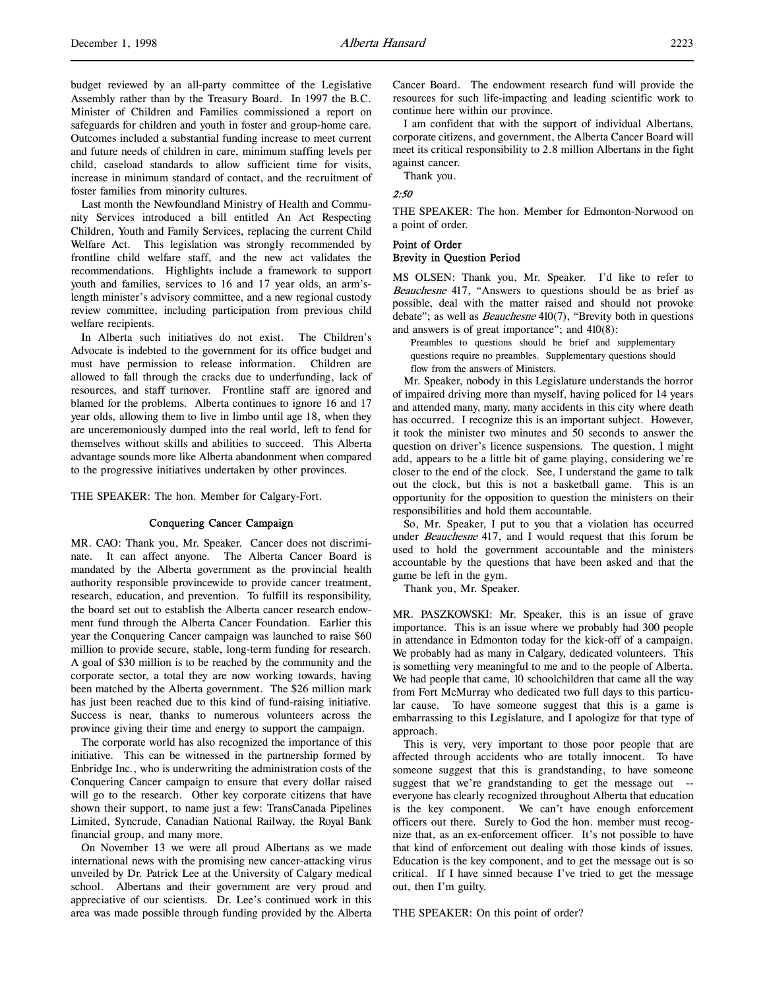Last month the Newfoundland Ministry of Health and Community Services introduced a bill entitled An Act Respecting Children, Youth and Family Services, replacing the current Child Welfare Act. This legislation was strongly recommended by frontline child welfare staff, and the new act validates the recommendations. Highlights include a framework to support youth and families, services to 16 and 17 year olds, an arm'slength minister's advisory committee, and a new regional custody review committee, including participation from previous child welfare recipients.

In Alberta such initiatives do not exist. The Children's Advocate is indebted to the government for its office budget and must have permission to release information. Children are allowed to fall through the cracks due to underfunding, lack of resources, and staff turnover. Frontline staff are ignored and blamed for the problems. Alberta continues to ignore 16 and 17 year olds, allowing them to live in limbo until age 18, when they are unceremoniously dumped into the real world, left to fend for themselves without skills and abilities to succeed. This Alberta advantage sounds more like Alberta abandonment when compared to the progressive initiatives undertaken by other provinces.

THE SPEAKER: The hon. Member for Calgary-Fort.

## Conquering Cancer Campaign

MR. CAO: Thank you, Mr. Speaker. Cancer does not discriminate. It can affect anyone. The Alberta Cancer Board is mandated by the Alberta government as the provincial health authority responsible provincewide to provide cancer treatment, research, education, and prevention. To fulfill its responsibility, the board set out to establish the Alberta cancer research endowment fund through the Alberta Cancer Foundation. Earlier this year the Conquering Cancer campaign was launched to raise \$60 million to provide secure, stable, long-term funding for research. A goal of \$30 million is to be reached by the community and the corporate sector, a total they are now working towards, having been matched by the Alberta government. The \$26 million mark has just been reached due to this kind of fund-raising initiative. Success is near, thanks to numerous volunteers across the province giving their time and energy to support the campaign.

The corporate world has also recognized the importance of this initiative. This can be witnessed in the partnership formed by Enbridge Inc., who is underwriting the administration costs of the Conquering Cancer campaign to ensure that every dollar raised will go to the research. Other key corporate citizens that have shown their support, to name just a few: TransCanada Pipelines Limited, Syncrude, Canadian National Railway, the Royal Bank financial group, and many more.

On November 13 we were all proud Albertans as we made international news with the promising new cancer-attacking virus unveiled by Dr. Patrick Lee at the University of Calgary medical school. Albertans and their government are very proud and appreciative of our scientists. Dr. Lee's continued work in this area was made possible through funding provided by the Alberta

Cancer Board. The endowment research fund will provide the resources for such life-impacting and leading scientific work to continue here within our province.

I am confident that with the support of individual Albertans, corporate citizens, and government, the Alberta Cancer Board will meet its critical responsibility to 2.8 million Albertans in the fight against cancer.

Thank you.

# 2:50

THE SPEAKER: The hon. Member for Edmonton-Norwood on a point of order.

# Point of Order Brevity in Question Period

MS OLSEN: Thank you, Mr. Speaker. I'd like to refer to Beauchesne 417, "Answers to questions should be as brief as possible, deal with the matter raised and should not provoke debate"; as well as *Beauchesne* 410(7), "Brevity both in questions and answers is of great importance"; and 410(8):

Preambles to questions should be brief and supplementary questions require no preambles. Supplementary questions should flow from the answers of Ministers.

Mr. Speaker, nobody in this Legislature understands the horror of impaired driving more than myself, having policed for 14 years and attended many, many, many accidents in this city where death has occurred. I recognize this is an important subject. However, it took the minister two minutes and 50 seconds to answer the question on driver's licence suspensions. The question, I might add, appears to be a little bit of game playing, considering we're closer to the end of the clock. See, I understand the game to talk out the clock, but this is not a basketball game. This is an opportunity for the opposition to question the ministers on their responsibilities and hold them accountable.

So, Mr. Speaker, I put to you that a violation has occurred under Beauchesne 417, and I would request that this forum be used to hold the government accountable and the ministers accountable by the questions that have been asked and that the game be left in the gym.

Thank you, Mr. Speaker.

MR. PASZKOWSKI: Mr. Speaker, this is an issue of grave importance. This is an issue where we probably had 300 people in attendance in Edmonton today for the kick-off of a campaign. We probably had as many in Calgary, dedicated volunteers. This is something very meaningful to me and to the people of Alberta. We had people that came, 10 schoolchildren that came all the way from Fort McMurray who dedicated two full days to this particular cause. To have someone suggest that this is a game is embarrassing to this Legislature, and I apologize for that type of approach.

This is very, very important to those poor people that are affected through accidents who are totally innocent. To have someone suggest that this is grandstanding, to have someone suggest that we're grandstanding to get the message out - everyone has clearly recognized throughout Alberta that education is the key component. We can't have enough enforcement officers out there. Surely to God the hon. member must recognize that, as an ex-enforcement officer. It's not possible to have that kind of enforcement out dealing with those kinds of issues. Education is the key component, and to get the message out is so critical. If I have sinned because I've tried to get the message out, then I'm guilty.

THE SPEAKER: On this point of order?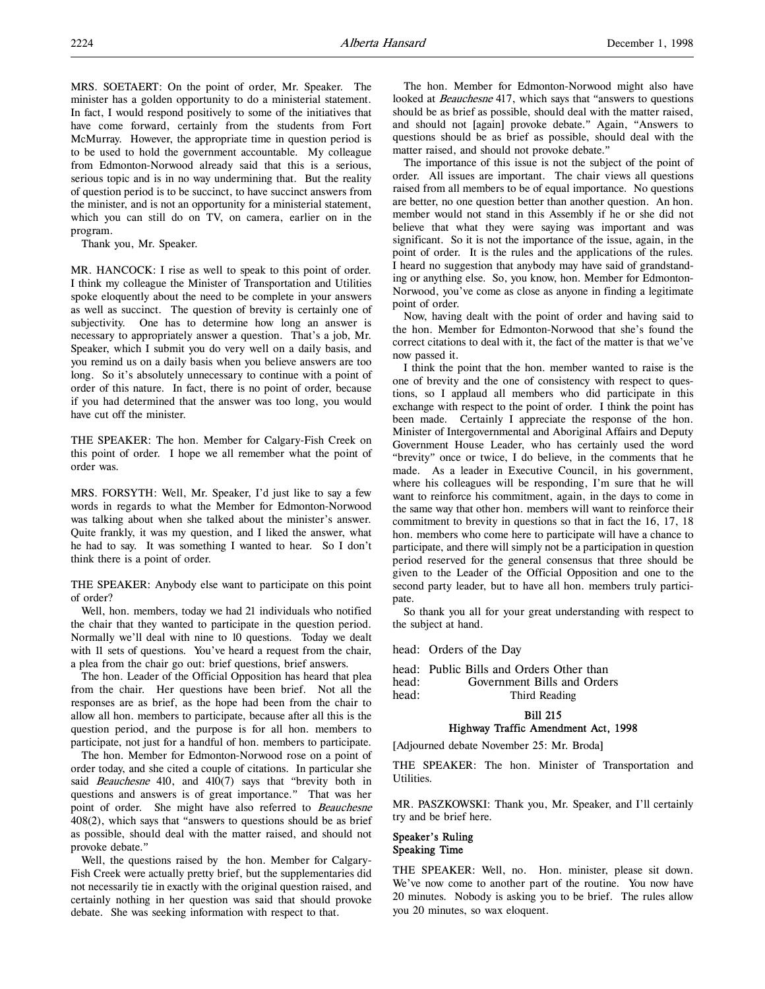MRS. SOETAERT: On the point of order, Mr. Speaker. The minister has a golden opportunity to do a ministerial statement. In fact, I would respond positively to some of the initiatives that have come forward, certainly from the students from Fort McMurray. However, the appropriate time in question period is to be used to hold the government accountable. My colleague from Edmonton-Norwood already said that this is a serious, serious topic and is in no way undermining that. But the reality of question period is to be succinct, to have succinct answers from the minister, and is not an opportunity for a ministerial statement, which you can still do on TV, on camera, earlier on in the program.

Thank you, Mr. Speaker.

MR. HANCOCK: I rise as well to speak to this point of order. I think my colleague the Minister of Transportation and Utilities spoke eloquently about the need to be complete in your answers as well as succinct. The question of brevity is certainly one of subjectivity. One has to determine how long an answer is necessary to appropriately answer a question. That's a job, Mr. Speaker, which I submit you do very well on a daily basis, and you remind us on a daily basis when you believe answers are too long. So it's absolutely unnecessary to continue with a point of order of this nature. In fact, there is no point of order, because if you had determined that the answer was too long, you would have cut off the minister.

THE SPEAKER: The hon. Member for Calgary-Fish Creek on this point of order. I hope we all remember what the point of order was.

MRS. FORSYTH: Well, Mr. Speaker, I'd just like to say a few words in regards to what the Member for Edmonton-Norwood was talking about when she talked about the minister's answer. Quite frankly, it was my question, and I liked the answer, what he had to say. It was something I wanted to hear. So I don't think there is a point of order.

THE SPEAKER: Anybody else want to participate on this point of order?

Well, hon. members, today we had 21 individuals who notified the chair that they wanted to participate in the question period. Normally we'll deal with nine to 10 questions. Today we dealt with 11 sets of questions. You've heard a request from the chair, a plea from the chair go out: brief questions, brief answers.

The hon. Leader of the Official Opposition has heard that plea from the chair. Her questions have been brief. Not all the responses are as brief, as the hope had been from the chair to allow all hon. members to participate, because after all this is the question period, and the purpose is for all hon. members to participate, not just for a handful of hon. members to participate.

The hon. Member for Edmonton-Norwood rose on a point of order today, and she cited a couple of citations. In particular she said *Beauchesne* 410, and 410(7) says that "brevity both in questions and answers is of great importance." That was her point of order. She might have also referred to Beauchesne 408(2), which says that "answers to questions should be as brief as possible, should deal with the matter raised, and should not provoke debate."

Well, the questions raised by the hon. Member for Calgary-Fish Creek were actually pretty brief, but the supplementaries did not necessarily tie in exactly with the original question raised, and certainly nothing in her question was said that should provoke debate. She was seeking information with respect to that.

The hon. Member for Edmonton-Norwood might also have looked at *Beauchesne* 417, which says that "answers to questions should be as brief as possible, should deal with the matter raised, and should not [again] provoke debate." Again, "Answers to questions should be as brief as possible, should deal with the matter raised, and should not provoke debate."

The importance of this issue is not the subject of the point of order. All issues are important. The chair views all questions raised from all members to be of equal importance. No questions are better, no one question better than another question. An hon. member would not stand in this Assembly if he or she did not believe that what they were saying was important and was significant. So it is not the importance of the issue, again, in the point of order. It is the rules and the applications of the rules. I heard no suggestion that anybody may have said of grandstanding or anything else. So, you know, hon. Member for Edmonton-Norwood, you've come as close as anyone in finding a legitimate point of order.

Now, having dealt with the point of order and having said to the hon. Member for Edmonton-Norwood that she's found the correct citations to deal with it, the fact of the matter is that we've now passed it.

I think the point that the hon. member wanted to raise is the one of brevity and the one of consistency with respect to questions, so I applaud all members who did participate in this exchange with respect to the point of order. I think the point has been made. Certainly I appreciate the response of the hon. Minister of Intergovernmental and Aboriginal Affairs and Deputy Government House Leader, who has certainly used the word "brevity" once or twice, I do believe, in the comments that he made. As a leader in Executive Council, in his government, where his colleagues will be responding, I'm sure that he will want to reinforce his commitment, again, in the days to come in the same way that other hon. members will want to reinforce their commitment to brevity in questions so that in fact the 16, 17, 18 hon. members who come here to participate will have a chance to participate, and there will simply not be a participation in question period reserved for the general consensus that three should be given to the Leader of the Official Opposition and one to the second party leader, but to have all hon. members truly participate.

So thank you all for your great understanding with respect to the subject at hand.

head: Orders of the Day

|       | head: Public Bills and Orders Other than |
|-------|------------------------------------------|
| head: | Government Bills and Orders              |
| head: | Third Reading                            |

#### Bill 215

## Highway Traffic Amendment Act, 1998

[Adjourned debate November 25: Mr. Broda]

THE SPEAKER: The hon. Minister of Transportation and Utilities.

MR. PASZKOWSKI: Thank you, Mr. Speaker, and I'll certainly try and be brief here.

# Speaker's Ruling Speaking Time

THE SPEAKER: Well, no. Hon. minister, please sit down. We've now come to another part of the routine. You now have 20 minutes. Nobody is asking you to be brief. The rules allow you 20 minutes, so wax eloquent.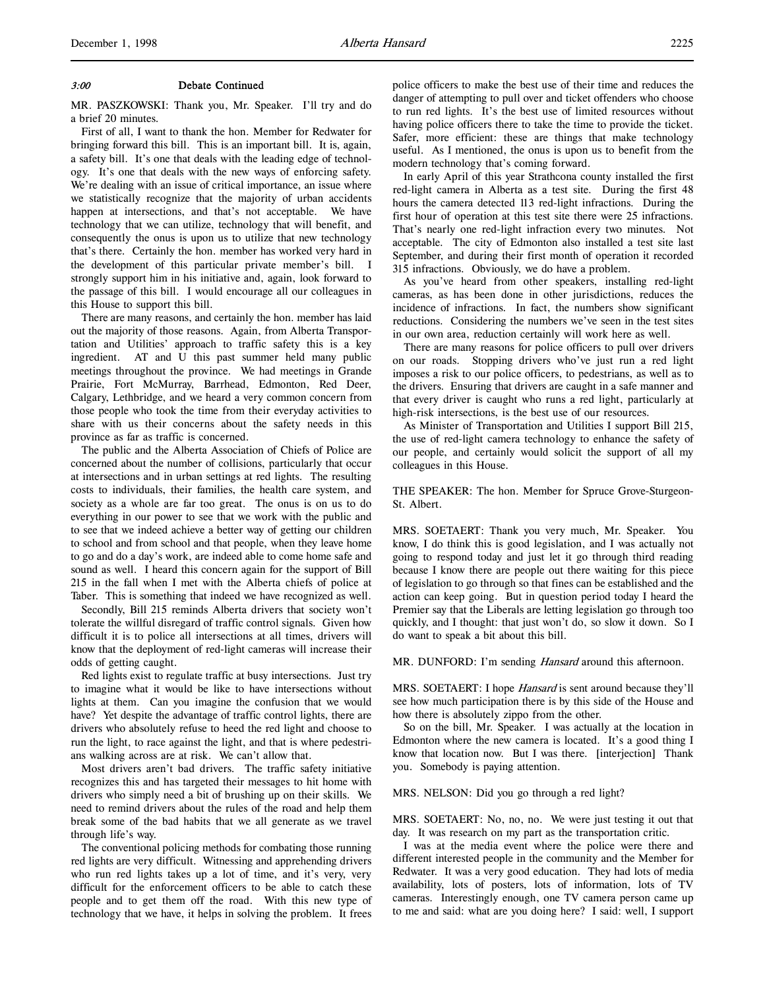## 3:00 Debate Continued

MR. PASZKOWSKI: Thank you, Mr. Speaker. I'll try and do a brief 20 minutes.

First of all, I want to thank the hon. Member for Redwater for bringing forward this bill. This is an important bill. It is, again, a safety bill. It's one that deals with the leading edge of technology. It's one that deals with the new ways of enforcing safety. We're dealing with an issue of critical importance, an issue where we statistically recognize that the majority of urban accidents happen at intersections, and that's not acceptable. We have technology that we can utilize, technology that will benefit, and consequently the onus is upon us to utilize that new technology that's there. Certainly the hon. member has worked very hard in the development of this particular private member's bill. I strongly support him in his initiative and, again, look forward to the passage of this bill. I would encourage all our colleagues in this House to support this bill.

There are many reasons, and certainly the hon. member has laid out the majority of those reasons. Again, from Alberta Transportation and Utilities' approach to traffic safety this is a key ingredient. AT and U this past summer held many public meetings throughout the province. We had meetings in Grande Prairie, Fort McMurray, Barrhead, Edmonton, Red Deer, Calgary, Lethbridge, and we heard a very common concern from those people who took the time from their everyday activities to share with us their concerns about the safety needs in this province as far as traffic is concerned.

The public and the Alberta Association of Chiefs of Police are concerned about the number of collisions, particularly that occur at intersections and in urban settings at red lights. The resulting costs to individuals, their families, the health care system, and society as a whole are far too great. The onus is on us to do everything in our power to see that we work with the public and to see that we indeed achieve a better way of getting our children to school and from school and that people, when they leave home to go and do a day's work, are indeed able to come home safe and sound as well. I heard this concern again for the support of Bill 215 in the fall when I met with the Alberta chiefs of police at Taber. This is something that indeed we have recognized as well.

Secondly, Bill 215 reminds Alberta drivers that society won't tolerate the willful disregard of traffic control signals. Given how difficult it is to police all intersections at all times, drivers will know that the deployment of red-light cameras will increase their odds of getting caught.

Red lights exist to regulate traffic at busy intersections. Just try to imagine what it would be like to have intersections without lights at them. Can you imagine the confusion that we would have? Yet despite the advantage of traffic control lights, there are drivers who absolutely refuse to heed the red light and choose to run the light, to race against the light, and that is where pedestrians walking across are at risk. We can't allow that.

Most drivers aren't bad drivers. The traffic safety initiative recognizes this and has targeted their messages to hit home with drivers who simply need a bit of brushing up on their skills. We need to remind drivers about the rules of the road and help them break some of the bad habits that we all generate as we travel through life's way.

The conventional policing methods for combating those running red lights are very difficult. Witnessing and apprehending drivers who run red lights takes up a lot of time, and it's very, very difficult for the enforcement officers to be able to catch these people and to get them off the road. With this new type of technology that we have, it helps in solving the problem. It frees

police officers to make the best use of their time and reduces the danger of attempting to pull over and ticket offenders who choose to run red lights. It's the best use of limited resources without having police officers there to take the time to provide the ticket. Safer, more efficient: these are things that make technology useful. As I mentioned, the onus is upon us to benefit from the modern technology that's coming forward.

In early April of this year Strathcona county installed the first red-light camera in Alberta as a test site. During the first 48 hours the camera detected 113 red-light infractions. During the first hour of operation at this test site there were 25 infractions. That's nearly one red-light infraction every two minutes. Not acceptable. The city of Edmonton also installed a test site last September, and during their first month of operation it recorded 315 infractions. Obviously, we do have a problem.

As you've heard from other speakers, installing red-light cameras, as has been done in other jurisdictions, reduces the incidence of infractions. In fact, the numbers show significant reductions. Considering the numbers we've seen in the test sites in our own area, reduction certainly will work here as well.

There are many reasons for police officers to pull over drivers on our roads. Stopping drivers who've just run a red light imposes a risk to our police officers, to pedestrians, as well as to the drivers. Ensuring that drivers are caught in a safe manner and that every driver is caught who runs a red light, particularly at high-risk intersections, is the best use of our resources.

As Minister of Transportation and Utilities I support Bill 215, the use of red-light camera technology to enhance the safety of our people, and certainly would solicit the support of all my colleagues in this House.

THE SPEAKER: The hon. Member for Spruce Grove-Sturgeon-St. Albert.

MRS. SOETAERT: Thank you very much, Mr. Speaker. You know, I do think this is good legislation, and I was actually not going to respond today and just let it go through third reading because I know there are people out there waiting for this piece of legislation to go through so that fines can be established and the action can keep going. But in question period today I heard the Premier say that the Liberals are letting legislation go through too quickly, and I thought: that just won't do, so slow it down. So I do want to speak a bit about this bill.

MR. DUNFORD: I'm sending *Hansard* around this afternoon.

MRS. SOETAERT: I hope *Hansard* is sent around because they'll see how much participation there is by this side of the House and how there is absolutely zippo from the other.

So on the bill, Mr. Speaker. I was actually at the location in Edmonton where the new camera is located. It's a good thing I know that location now. But I was there. [interjection] Thank you. Somebody is paying attention.

MRS. NELSON: Did you go through a red light?

MRS. SOETAERT: No, no, no. We were just testing it out that day. It was research on my part as the transportation critic.

I was at the media event where the police were there and different interested people in the community and the Member for Redwater. It was a very good education. They had lots of media availability, lots of posters, lots of information, lots of TV cameras. Interestingly enough, one TV camera person came up to me and said: what are you doing here? I said: well, I support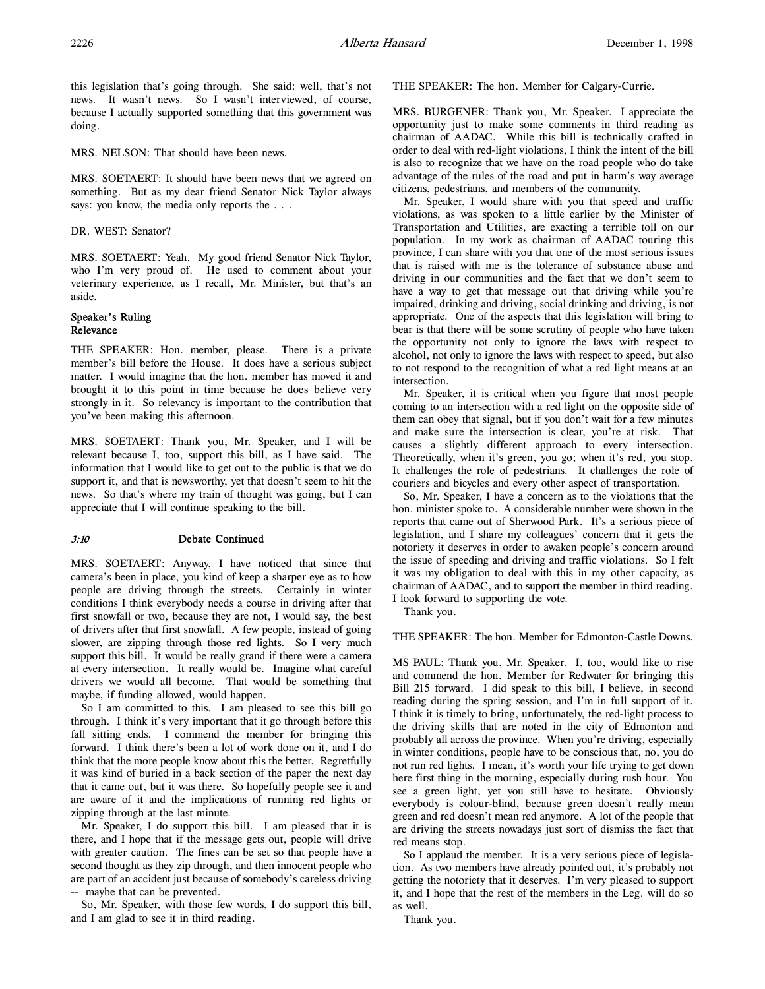this legislation that's going through. She said: well, that's not news. It wasn't news. So I wasn't interviewed, of course, because I actually supported something that this government was doing.

MRS. NELSON: That should have been news.

MRS. SOETAERT: It should have been news that we agreed on something. But as my dear friend Senator Nick Taylor always says: you know, the media only reports the . . .

DR. WEST: Senator?

MRS. SOETAERT: Yeah. My good friend Senator Nick Taylor, who I'm very proud of. He used to comment about your veterinary experience, as I recall, Mr. Minister, but that's an aside.

# Speaker's Ruling Relevance

THE SPEAKER: Hon. member, please. There is a private member's bill before the House. It does have a serious subject matter. I would imagine that the hon. member has moved it and brought it to this point in time because he does believe very strongly in it. So relevancy is important to the contribution that you've been making this afternoon.

MRS. SOETAERT: Thank you, Mr. Speaker, and I will be relevant because I, too, support this bill, as I have said. The information that I would like to get out to the public is that we do support it, and that is newsworthy, yet that doesn't seem to hit the news. So that's where my train of thought was going, but I can appreciate that I will continue speaking to the bill.

# 3:10 Debate Continued

MRS. SOETAERT: Anyway, I have noticed that since that camera's been in place, you kind of keep a sharper eye as to how people are driving through the streets. Certainly in winter conditions I think everybody needs a course in driving after that first snowfall or two, because they are not, I would say, the best of drivers after that first snowfall. A few people, instead of going slower, are zipping through those red lights. So I very much support this bill. It would be really grand if there were a camera at every intersection. It really would be. Imagine what careful drivers we would all become. That would be something that maybe, if funding allowed, would happen.

So I am committed to this. I am pleased to see this bill go through. I think it's very important that it go through before this fall sitting ends. I commend the member for bringing this forward. I think there's been a lot of work done on it, and I do think that the more people know about this the better. Regretfully it was kind of buried in a back section of the paper the next day that it came out, but it was there. So hopefully people see it and are aware of it and the implications of running red lights or zipping through at the last minute.

Mr. Speaker, I do support this bill. I am pleased that it is there, and I hope that if the message gets out, people will drive with greater caution. The fines can be set so that people have a second thought as they zip through, and then innocent people who are part of an accident just because of somebody's careless driving -- maybe that can be prevented.

So, Mr. Speaker, with those few words, I do support this bill, and I am glad to see it in third reading.

THE SPEAKER: The hon. Member for Calgary-Currie.

MRS. BURGENER: Thank you, Mr. Speaker. I appreciate the opportunity just to make some comments in third reading as chairman of AADAC. While this bill is technically crafted in order to deal with red-light violations, I think the intent of the bill is also to recognize that we have on the road people who do take advantage of the rules of the road and put in harm's way average citizens, pedestrians, and members of the community.

Mr. Speaker, I would share with you that speed and traffic violations, as was spoken to a little earlier by the Minister of Transportation and Utilities, are exacting a terrible toll on our population. In my work as chairman of AADAC touring this province, I can share with you that one of the most serious issues that is raised with me is the tolerance of substance abuse and driving in our communities and the fact that we don't seem to have a way to get that message out that driving while you're impaired, drinking and driving, social drinking and driving, is not appropriate. One of the aspects that this legislation will bring to bear is that there will be some scrutiny of people who have taken the opportunity not only to ignore the laws with respect to alcohol, not only to ignore the laws with respect to speed, but also to not respond to the recognition of what a red light means at an intersection.

Mr. Speaker, it is critical when you figure that most people coming to an intersection with a red light on the opposite side of them can obey that signal, but if you don't wait for a few minutes and make sure the intersection is clear, you're at risk. That causes a slightly different approach to every intersection. Theoretically, when it's green, you go; when it's red, you stop. It challenges the role of pedestrians. It challenges the role of couriers and bicycles and every other aspect of transportation.

So, Mr. Speaker, I have a concern as to the violations that the hon. minister spoke to. A considerable number were shown in the reports that came out of Sherwood Park. It's a serious piece of legislation, and I share my colleagues' concern that it gets the notoriety it deserves in order to awaken people's concern around the issue of speeding and driving and traffic violations. So I felt it was my obligation to deal with this in my other capacity, as chairman of AADAC, and to support the member in third reading. I look forward to supporting the vote.

Thank you.

THE SPEAKER: The hon. Member for Edmonton-Castle Downs.

MS PAUL: Thank you, Mr. Speaker. I, too, would like to rise and commend the hon. Member for Redwater for bringing this Bill 215 forward. I did speak to this bill, I believe, in second reading during the spring session, and I'm in full support of it. I think it is timely to bring, unfortunately, the red-light process to the driving skills that are noted in the city of Edmonton and probably all across the province. When you're driving, especially in winter conditions, people have to be conscious that, no, you do not run red lights. I mean, it's worth your life trying to get down here first thing in the morning, especially during rush hour. You see a green light, yet you still have to hesitate. Obviously everybody is colour-blind, because green doesn't really mean green and red doesn't mean red anymore. A lot of the people that are driving the streets nowadays just sort of dismiss the fact that red means stop.

So I applaud the member. It is a very serious piece of legislation. As two members have already pointed out, it's probably not getting the notoriety that it deserves. I'm very pleased to support it, and I hope that the rest of the members in the Leg. will do so as well.

Thank you.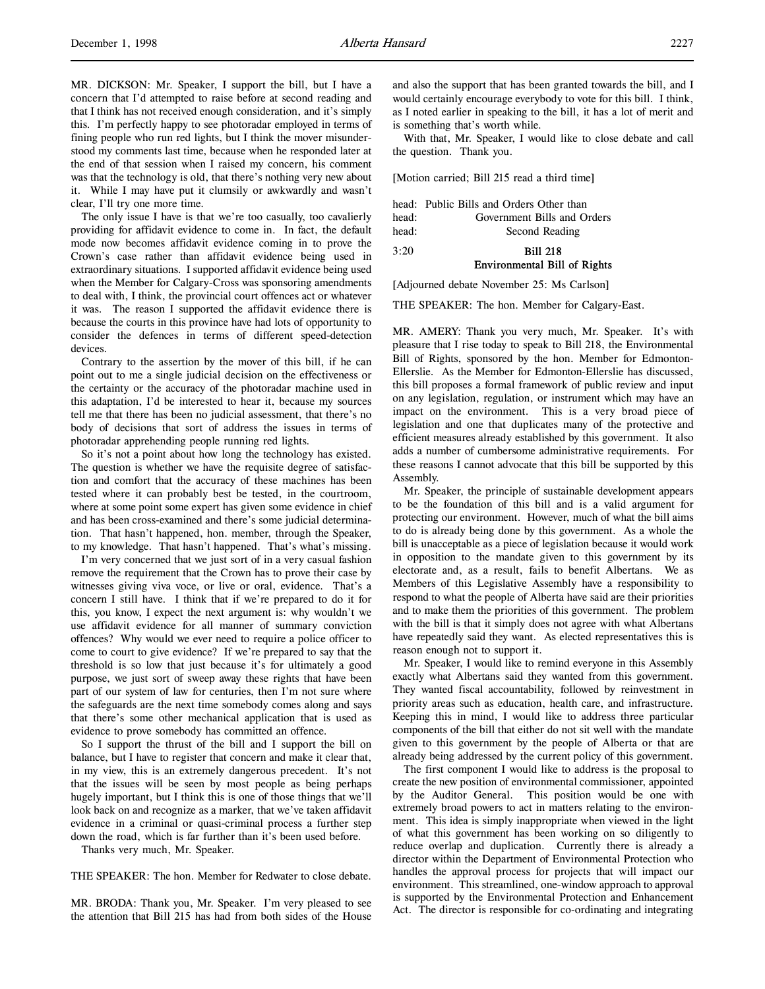MR. DICKSON: Mr. Speaker, I support the bill, but I have a concern that I'd attempted to raise before at second reading and that I think has not received enough consideration, and it's simply this. I'm perfectly happy to see photoradar employed in terms of fining people who run red lights, but I think the mover misunderstood my comments last time, because when he responded later at the end of that session when I raised my concern, his comment was that the technology is old, that there's nothing very new about it. While I may have put it clumsily or awkwardly and wasn't clear, I'll try one more time.

The only issue I have is that we're too casually, too cavalierly providing for affidavit evidence to come in. In fact, the default mode now becomes affidavit evidence coming in to prove the Crown's case rather than affidavit evidence being used in extraordinary situations. I supported affidavit evidence being used when the Member for Calgary-Cross was sponsoring amendments to deal with, I think, the provincial court offences act or whatever it was. The reason I supported the affidavit evidence there is because the courts in this province have had lots of opportunity to consider the defences in terms of different speed-detection devices.

Contrary to the assertion by the mover of this bill, if he can point out to me a single judicial decision on the effectiveness or the certainty or the accuracy of the photoradar machine used in this adaptation, I'd be interested to hear it, because my sources tell me that there has been no judicial assessment, that there's no body of decisions that sort of address the issues in terms of photoradar apprehending people running red lights.

So it's not a point about how long the technology has existed. The question is whether we have the requisite degree of satisfaction and comfort that the accuracy of these machines has been tested where it can probably best be tested, in the courtroom, where at some point some expert has given some evidence in chief and has been cross-examined and there's some judicial determination. That hasn't happened, hon. member, through the Speaker, to my knowledge. That hasn't happened. That's what's missing.

I'm very concerned that we just sort of in a very casual fashion remove the requirement that the Crown has to prove their case by witnesses giving viva voce, or live or oral, evidence. That's a concern I still have. I think that if we're prepared to do it for this, you know, I expect the next argument is: why wouldn't we use affidavit evidence for all manner of summary conviction offences? Why would we ever need to require a police officer to come to court to give evidence? If we're prepared to say that the threshold is so low that just because it's for ultimately a good purpose, we just sort of sweep away these rights that have been part of our system of law for centuries, then I'm not sure where the safeguards are the next time somebody comes along and says that there's some other mechanical application that is used as evidence to prove somebody has committed an offence.

So I support the thrust of the bill and I support the bill on balance, but I have to register that concern and make it clear that, in my view, this is an extremely dangerous precedent. It's not that the issues will be seen by most people as being perhaps hugely important, but I think this is one of those things that we'll look back on and recognize as a marker, that we've taken affidavit evidence in a criminal or quasi-criminal process a further step down the road, which is far further than it's been used before.

Thanks very much, Mr. Speaker.

THE SPEAKER: The hon. Member for Redwater to close debate.

MR. BRODA: Thank you, Mr. Speaker. I'm very pleased to see the attention that Bill 215 has had from both sides of the House and also the support that has been granted towards the bill, and I would certainly encourage everybody to vote for this bill. I think, as I noted earlier in speaking to the bill, it has a lot of merit and is something that's worth while.

With that, Mr. Speaker, I would like to close debate and call the question. Thank you.

[Motion carried; Bill 215 read a third time]

|       | head: Public Bills and Orders Other than |
|-------|------------------------------------------|
| head: | Government Bills and Orders              |
| head: | Second Reading                           |

# 3:20 Bill 218 Environmental Bill of Rights

[Adjourned debate November 25: Ms Carlson]

THE SPEAKER: The hon. Member for Calgary-East.

MR. AMERY: Thank you very much, Mr. Speaker. It's with pleasure that I rise today to speak to Bill 218, the Environmental Bill of Rights, sponsored by the hon. Member for Edmonton-Ellerslie. As the Member for Edmonton-Ellerslie has discussed, this bill proposes a formal framework of public review and input on any legislation, regulation, or instrument which may have an impact on the environment. This is a very broad piece of legislation and one that duplicates many of the protective and efficient measures already established by this government. It also adds a number of cumbersome administrative requirements. For these reasons I cannot advocate that this bill be supported by this Assembly.

Mr. Speaker, the principle of sustainable development appears to be the foundation of this bill and is a valid argument for protecting our environment. However, much of what the bill aims to do is already being done by this government. As a whole the bill is unacceptable as a piece of legislation because it would work in opposition to the mandate given to this government by its electorate and, as a result, fails to benefit Albertans. We as Members of this Legislative Assembly have a responsibility to respond to what the people of Alberta have said are their priorities and to make them the priorities of this government. The problem with the bill is that it simply does not agree with what Albertans have repeatedly said they want. As elected representatives this is reason enough not to support it.

Mr. Speaker, I would like to remind everyone in this Assembly exactly what Albertans said they wanted from this government. They wanted fiscal accountability, followed by reinvestment in priority areas such as education, health care, and infrastructure. Keeping this in mind, I would like to address three particular components of the bill that either do not sit well with the mandate given to this government by the people of Alberta or that are already being addressed by the current policy of this government.

The first component I would like to address is the proposal to create the new position of environmental commissioner, appointed by the Auditor General. This position would be one with extremely broad powers to act in matters relating to the environment. This idea is simply inappropriate when viewed in the light of what this government has been working on so diligently to reduce overlap and duplication. Currently there is already a director within the Department of Environmental Protection who handles the approval process for projects that will impact our environment. This streamlined, one-window approach to approval is supported by the Environmental Protection and Enhancement Act. The director is responsible for co-ordinating and integrating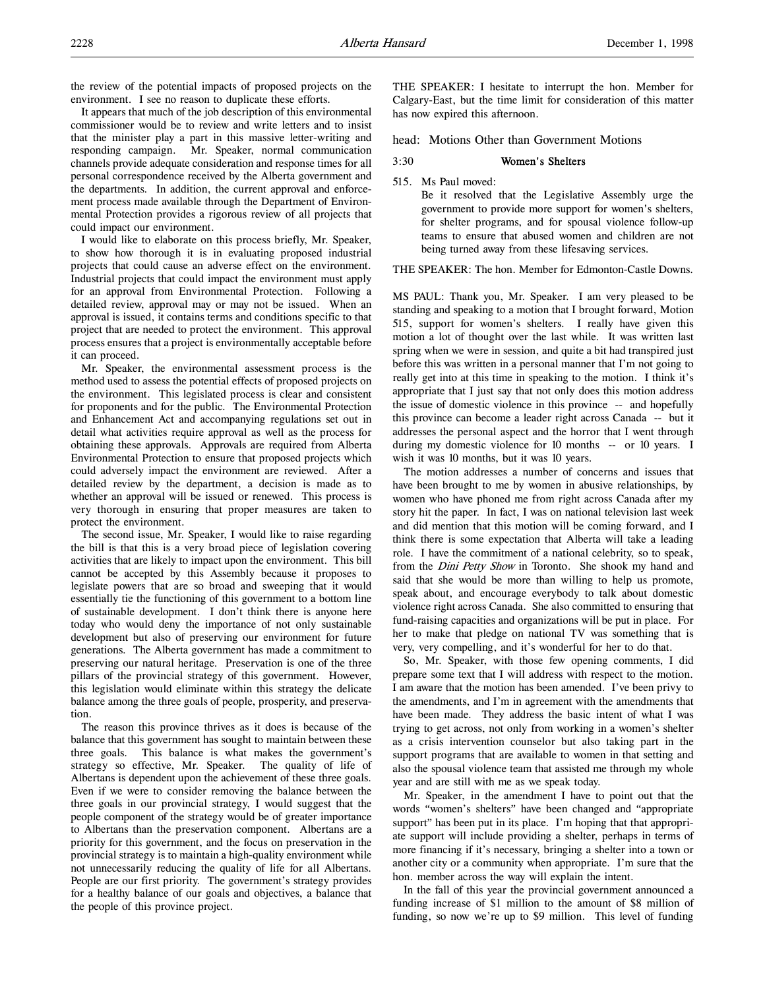the review of the potential impacts of proposed projects on the environment. I see no reason to duplicate these efforts.

It appears that much of the job description of this environmental commissioner would be to review and write letters and to insist that the minister play a part in this massive letter-writing and responding campaign. Mr. Speaker, normal communication channels provide adequate consideration and response times for all personal correspondence received by the Alberta government and the departments. In addition, the current approval and enforcement process made available through the Department of Environmental Protection provides a rigorous review of all projects that could impact our environment.

I would like to elaborate on this process briefly, Mr. Speaker, to show how thorough it is in evaluating proposed industrial projects that could cause an adverse effect on the environment. Industrial projects that could impact the environment must apply for an approval from Environmental Protection. Following a detailed review, approval may or may not be issued. When an approval is issued, it contains terms and conditions specific to that project that are needed to protect the environment. This approval process ensures that a project is environmentally acceptable before it can proceed.

Mr. Speaker, the environmental assessment process is the method used to assess the potential effects of proposed projects on the environment. This legislated process is clear and consistent for proponents and for the public. The Environmental Protection and Enhancement Act and accompanying regulations set out in detail what activities require approval as well as the process for obtaining these approvals. Approvals are required from Alberta Environmental Protection to ensure that proposed projects which could adversely impact the environment are reviewed. After a detailed review by the department, a decision is made as to whether an approval will be issued or renewed. This process is very thorough in ensuring that proper measures are taken to protect the environment.

The second issue, Mr. Speaker, I would like to raise regarding the bill is that this is a very broad piece of legislation covering activities that are likely to impact upon the environment. This bill cannot be accepted by this Assembly because it proposes to legislate powers that are so broad and sweeping that it would essentially tie the functioning of this government to a bottom line of sustainable development. I don't think there is anyone here today who would deny the importance of not only sustainable development but also of preserving our environment for future generations. The Alberta government has made a commitment to preserving our natural heritage. Preservation is one of the three pillars of the provincial strategy of this government. However, this legislation would eliminate within this strategy the delicate balance among the three goals of people, prosperity, and preservation.

The reason this province thrives as it does is because of the balance that this government has sought to maintain between these three goals. This balance is what makes the government's strategy so effective, Mr. Speaker. The quality of life of Albertans is dependent upon the achievement of these three goals. Even if we were to consider removing the balance between the three goals in our provincial strategy, I would suggest that the people component of the strategy would be of greater importance to Albertans than the preservation component. Albertans are a priority for this government, and the focus on preservation in the provincial strategy is to maintain a high-quality environment while not unnecessarily reducing the quality of life for all Albertans. People are our first priority. The government's strategy provides for a healthy balance of our goals and objectives, a balance that the people of this province project.

THE SPEAKER: I hesitate to interrupt the hon. Member for Calgary-East, but the time limit for consideration of this matter has now expired this afternoon.

head: Motions Other than Government Motions

#### 3:30 Women's Shelters

515. Ms Paul moved:

Be it resolved that the Legislative Assembly urge the government to provide more support for women's shelters, for shelter programs, and for spousal violence follow-up teams to ensure that abused women and children are not being turned away from these lifesaving services.

THE SPEAKER: The hon. Member for Edmonton-Castle Downs.

MS PAUL: Thank you, Mr. Speaker. I am very pleased to be standing and speaking to a motion that I brought forward, Motion 515, support for women's shelters. I really have given this motion a lot of thought over the last while. It was written last spring when we were in session, and quite a bit had transpired just before this was written in a personal manner that I'm not going to really get into at this time in speaking to the motion. I think it's appropriate that I just say that not only does this motion address the issue of domestic violence in this province -- and hopefully this province can become a leader right across Canada -- but it addresses the personal aspect and the horror that I went through during my domestic violence for 10 months -- or 10 years. I wish it was 10 months, but it was 10 years.

The motion addresses a number of concerns and issues that have been brought to me by women in abusive relationships, by women who have phoned me from right across Canada after my story hit the paper. In fact, I was on national television last week and did mention that this motion will be coming forward, and I think there is some expectation that Alberta will take a leading role. I have the commitment of a national celebrity, so to speak, from the *Dini Petty Show* in Toronto. She shook my hand and said that she would be more than willing to help us promote, speak about, and encourage everybody to talk about domestic violence right across Canada. She also committed to ensuring that fund-raising capacities and organizations will be put in place. For her to make that pledge on national TV was something that is very, very compelling, and it's wonderful for her to do that.

So, Mr. Speaker, with those few opening comments, I did prepare some text that I will address with respect to the motion. I am aware that the motion has been amended. I've been privy to the amendments, and I'm in agreement with the amendments that have been made. They address the basic intent of what I was trying to get across, not only from working in a women's shelter as a crisis intervention counselor but also taking part in the support programs that are available to women in that setting and also the spousal violence team that assisted me through my whole year and are still with me as we speak today.

Mr. Speaker, in the amendment I have to point out that the words "women's shelters" have been changed and "appropriate support" has been put in its place. I'm hoping that that appropriate support will include providing a shelter, perhaps in terms of more financing if it's necessary, bringing a shelter into a town or another city or a community when appropriate. I'm sure that the hon. member across the way will explain the intent.

In the fall of this year the provincial government announced a funding increase of \$1 million to the amount of \$8 million of funding, so now we're up to \$9 million. This level of funding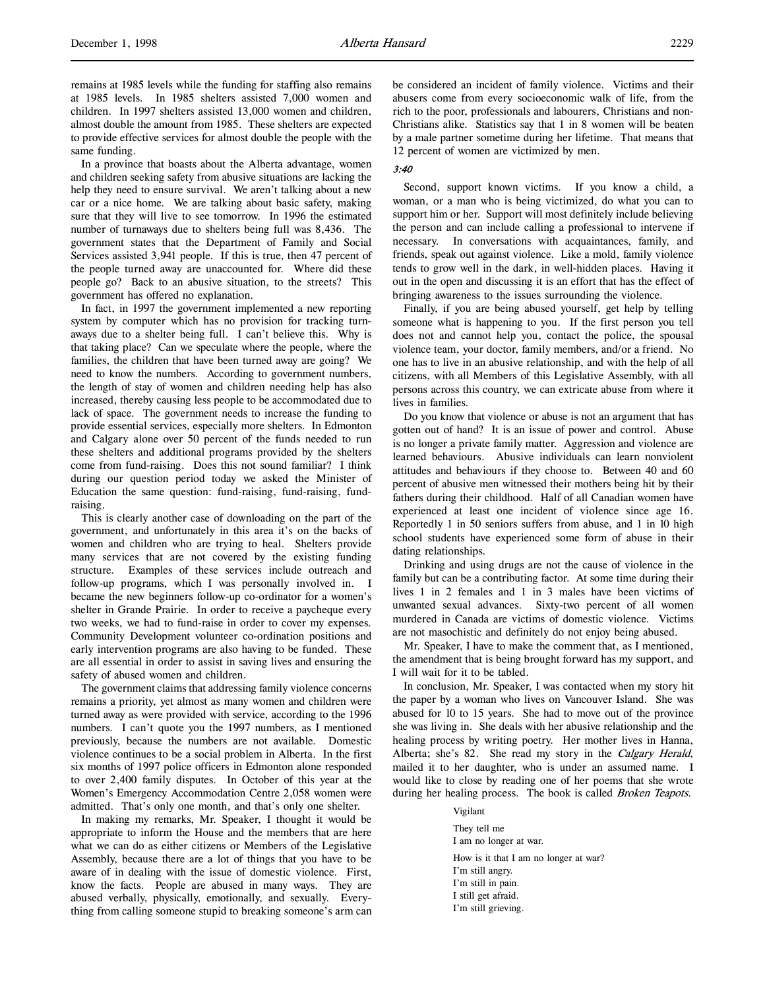remains at 1985 levels while the funding for staffing also remains at 1985 levels. In 1985 shelters assisted 7,000 women and children. In 1997 shelters assisted 13,000 women and children, almost double the amount from 1985. These shelters are expected to provide effective services for almost double the people with the same funding.

In a province that boasts about the Alberta advantage, women and children seeking safety from abusive situations are lacking the help they need to ensure survival. We aren't talking about a new car or a nice home. We are talking about basic safety, making sure that they will live to see tomorrow. In 1996 the estimated number of turnaways due to shelters being full was 8,436. The government states that the Department of Family and Social Services assisted 3,941 people. If this is true, then 47 percent of the people turned away are unaccounted for. Where did these people go? Back to an abusive situation, to the streets? This government has offered no explanation.

In fact, in 1997 the government implemented a new reporting system by computer which has no provision for tracking turnaways due to a shelter being full. I can't believe this. Why is that taking place? Can we speculate where the people, where the families, the children that have been turned away are going? We need to know the numbers. According to government numbers, the length of stay of women and children needing help has also increased, thereby causing less people to be accommodated due to lack of space. The government needs to increase the funding to provide essential services, especially more shelters. In Edmonton and Calgary alone over 50 percent of the funds needed to run these shelters and additional programs provided by the shelters come from fund-raising. Does this not sound familiar? I think during our question period today we asked the Minister of Education the same question: fund-raising, fund-raising, fundraising.

This is clearly another case of downloading on the part of the government, and unfortunately in this area it's on the backs of women and children who are trying to heal. Shelters provide many services that are not covered by the existing funding structure. Examples of these services include outreach and follow-up programs, which I was personally involved in. I became the new beginners follow-up co-ordinator for a women's shelter in Grande Prairie. In order to receive a paycheque every two weeks, we had to fund-raise in order to cover my expenses. Community Development volunteer co-ordination positions and early intervention programs are also having to be funded. These are all essential in order to assist in saving lives and ensuring the safety of abused women and children.

The government claims that addressing family violence concerns remains a priority, yet almost as many women and children were turned away as were provided with service, according to the 1996 numbers. I can't quote you the 1997 numbers, as I mentioned previously, because the numbers are not available. Domestic violence continues to be a social problem in Alberta. In the first six months of 1997 police officers in Edmonton alone responded to over 2,400 family disputes. In October of this year at the Women's Emergency Accommodation Centre 2,058 women were admitted. That's only one month, and that's only one shelter.

In making my remarks, Mr. Speaker, I thought it would be appropriate to inform the House and the members that are here what we can do as either citizens or Members of the Legislative Assembly, because there are a lot of things that you have to be aware of in dealing with the issue of domestic violence. First, know the facts. People are abused in many ways. They are abused verbally, physically, emotionally, and sexually. Everything from calling someone stupid to breaking someone's arm can be considered an incident of family violence. Victims and their abusers come from every socioeconomic walk of life, from the rich to the poor, professionals and labourers, Christians and non-Christians alike. Statistics say that 1 in 8 women will be beaten by a male partner sometime during her lifetime. That means that 12 percent of women are victimized by men.

## 3:40

Second, support known victims. If you know a child, a woman, or a man who is being victimized, do what you can to support him or her. Support will most definitely include believing the person and can include calling a professional to intervene if necessary. In conversations with acquaintances, family, and friends, speak out against violence. Like a mold, family violence tends to grow well in the dark, in well-hidden places. Having it out in the open and discussing it is an effort that has the effect of bringing awareness to the issues surrounding the violence.

Finally, if you are being abused yourself, get help by telling someone what is happening to you. If the first person you tell does not and cannot help you, contact the police, the spousal violence team, your doctor, family members, and/or a friend. No one has to live in an abusive relationship, and with the help of all citizens, with all Members of this Legislative Assembly, with all persons across this country, we can extricate abuse from where it lives in families.

Do you know that violence or abuse is not an argument that has gotten out of hand? It is an issue of power and control. Abuse is no longer a private family matter. Aggression and violence are learned behaviours. Abusive individuals can learn nonviolent attitudes and behaviours if they choose to. Between 40 and 60 percent of abusive men witnessed their mothers being hit by their fathers during their childhood. Half of all Canadian women have experienced at least one incident of violence since age 16. Reportedly 1 in 50 seniors suffers from abuse, and 1 in 10 high school students have experienced some form of abuse in their dating relationships.

Drinking and using drugs are not the cause of violence in the family but can be a contributing factor. At some time during their lives 1 in 2 females and 1 in 3 males have been victims of unwanted sexual advances. Sixty-two percent of all women murdered in Canada are victims of domestic violence. Victims are not masochistic and definitely do not enjoy being abused.

Mr. Speaker, I have to make the comment that, as I mentioned, the amendment that is being brought forward has my support, and I will wait for it to be tabled.

In conclusion, Mr. Speaker, I was contacted when my story hit the paper by a woman who lives on Vancouver Island. She was abused for 10 to 15 years. She had to move out of the province she was living in. She deals with her abusive relationship and the healing process by writing poetry. Her mother lives in Hanna, Alberta; she's 82. She read my story in the Calgary Herald, mailed it to her daughter, who is under an assumed name. I would like to close by reading one of her poems that she wrote during her healing process. The book is called *Broken Teapots*.

#### Vigilant

They tell me I am no longer at war. How is it that I am no longer at war? I'm still angry. I'm still in pain. I still get afraid. I'm still grieving.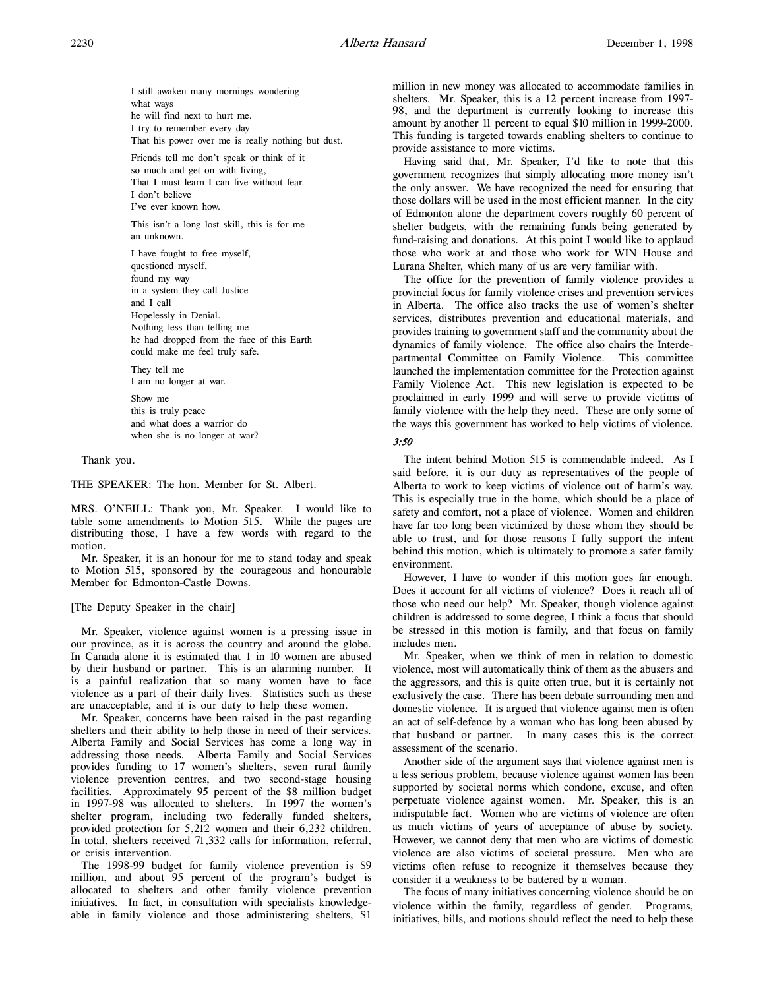I still awaken many mornings wondering what ways he will find next to hurt me. I try to remember every day That his power over me is really nothing but dust.

Friends tell me don't speak or think of it so much and get on with living, That I must learn I can live without fear. I don't believe I've ever known how.

This isn't a long lost skill, this is for me an unknown.

I have fought to free myself, questioned myself, found my way in a system they call Justice and I call Hopelessly in Denial. Nothing less than telling me he had dropped from the face of this Earth could make me feel truly safe.

They tell me I am no longer at war.

Show me this is truly peace and what does a warrior do when she is no longer at war?

Thank you.

THE SPEAKER: The hon. Member for St. Albert.

MRS. O'NEILL: Thank you, Mr. Speaker. I would like to table some amendments to Motion 515. While the pages are distributing those, I have a few words with regard to the motion.

Mr. Speaker, it is an honour for me to stand today and speak to Motion 515, sponsored by the courageous and honourable Member for Edmonton-Castle Downs.

[The Deputy Speaker in the chair]

Mr. Speaker, violence against women is a pressing issue in our province, as it is across the country and around the globe. In Canada alone it is estimated that 1 in 10 women are abused by their husband or partner. This is an alarming number. It is a painful realization that so many women have to face violence as a part of their daily lives. Statistics such as these are unacceptable, and it is our duty to help these women.

Mr. Speaker, concerns have been raised in the past regarding shelters and their ability to help those in need of their services. Alberta Family and Social Services has come a long way in addressing those needs. Alberta Family and Social Services provides funding to 17 women's shelters, seven rural family violence prevention centres, and two second-stage housing facilities. Approximately 95 percent of the \$8 million budget in 1997-98 was allocated to shelters. In 1997 the women's shelter program, including two federally funded shelters, provided protection for 5,212 women and their 6,232 children. In total, shelters received 71,332 calls for information, referral, or crisis intervention.

The 1998-99 budget for family violence prevention is \$9 million, and about 95 percent of the program's budget is allocated to shelters and other family violence prevention initiatives. In fact, in consultation with specialists knowledgeable in family violence and those administering shelters, \$1

million in new money was allocated to accommodate families in shelters. Mr. Speaker, this is a 12 percent increase from 1997- 98, and the department is currently looking to increase this amount by another 11 percent to equal \$10 million in 1999-2000. This funding is targeted towards enabling shelters to continue to provide assistance to more victims.

Having said that, Mr. Speaker, I'd like to note that this government recognizes that simply allocating more money isn't the only answer. We have recognized the need for ensuring that those dollars will be used in the most efficient manner. In the city of Edmonton alone the department covers roughly 60 percent of shelter budgets, with the remaining funds being generated by fund-raising and donations. At this point I would like to applaud those who work at and those who work for WIN House and Lurana Shelter, which many of us are very familiar with.

The office for the prevention of family violence provides a provincial focus for family violence crises and prevention services in Alberta. The office also tracks the use of women's shelter services, distributes prevention and educational materials, and provides training to government staff and the community about the dynamics of family violence. The office also chairs the Interdepartmental Committee on Family Violence. This committee launched the implementation committee for the Protection against Family Violence Act. This new legislation is expected to be proclaimed in early 1999 and will serve to provide victims of family violence with the help they need. These are only some of the ways this government has worked to help victims of violence.

# $3.50$

The intent behind Motion 515 is commendable indeed. As I said before, it is our duty as representatives of the people of Alberta to work to keep victims of violence out of harm's way. This is especially true in the home, which should be a place of safety and comfort, not a place of violence. Women and children have far too long been victimized by those whom they should be able to trust, and for those reasons I fully support the intent behind this motion, which is ultimately to promote a safer family environment.

However, I have to wonder if this motion goes far enough. Does it account for all victims of violence? Does it reach all of those who need our help? Mr. Speaker, though violence against children is addressed to some degree, I think a focus that should be stressed in this motion is family, and that focus on family includes men.

Mr. Speaker, when we think of men in relation to domestic violence, most will automatically think of them as the abusers and the aggressors, and this is quite often true, but it is certainly not exclusively the case. There has been debate surrounding men and domestic violence. It is argued that violence against men is often an act of self-defence by a woman who has long been abused by that husband or partner. In many cases this is the correct assessment of the scenario.

Another side of the argument says that violence against men is a less serious problem, because violence against women has been supported by societal norms which condone, excuse, and often perpetuate violence against women. Mr. Speaker, this is an indisputable fact. Women who are victims of violence are often as much victims of years of acceptance of abuse by society. However, we cannot deny that men who are victims of domestic violence are also victims of societal pressure. Men who are victims often refuse to recognize it themselves because they consider it a weakness to be battered by a woman.

The focus of many initiatives concerning violence should be on violence within the family, regardless of gender. Programs, initiatives, bills, and motions should reflect the need to help these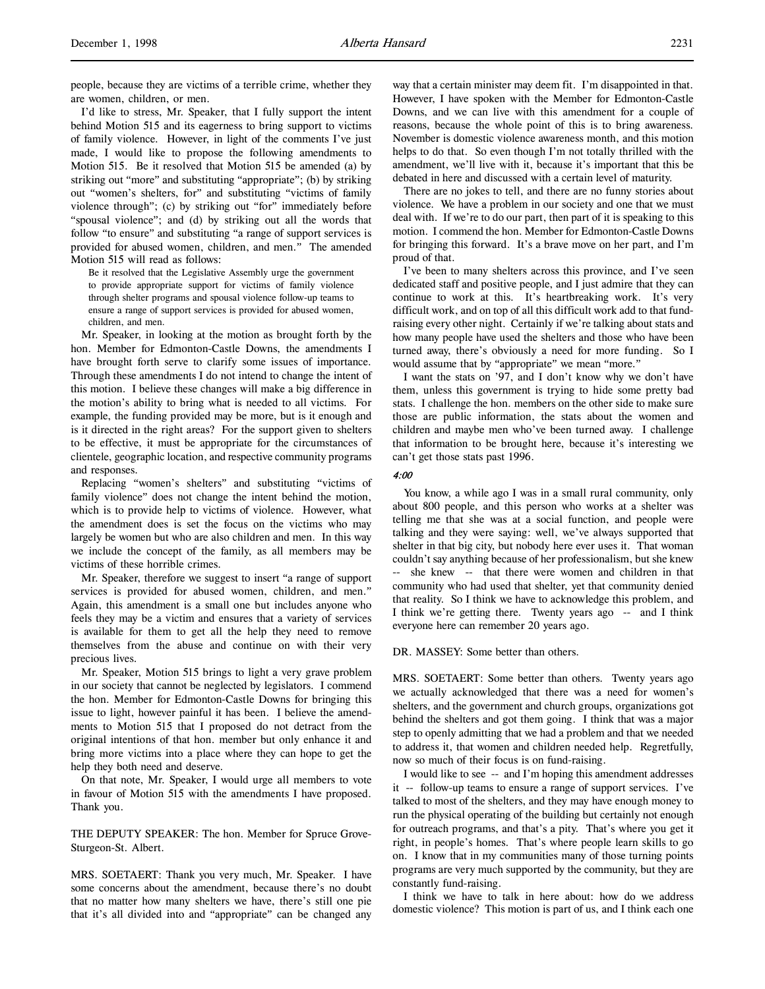people, because they are victims of a terrible crime, whether they are women, children, or men.

I'd like to stress, Mr. Speaker, that I fully support the intent behind Motion 515 and its eagerness to bring support to victims of family violence. However, in light of the comments I've just made, I would like to propose the following amendments to Motion 515. Be it resolved that Motion 515 be amended (a) by striking out "more" and substituting "appropriate"; (b) by striking out "women's shelters, for" and substituting "victims of family violence through"; (c) by striking out "for" immediately before "spousal violence"; and (d) by striking out all the words that follow "to ensure" and substituting "a range of support services is provided for abused women, children, and men." The amended Motion 515 will read as follows:

Be it resolved that the Legislative Assembly urge the government to provide appropriate support for victims of family violence through shelter programs and spousal violence follow-up teams to ensure a range of support services is provided for abused women, children, and men.

Mr. Speaker, in looking at the motion as brought forth by the hon. Member for Edmonton-Castle Downs, the amendments I have brought forth serve to clarify some issues of importance. Through these amendments I do not intend to change the intent of this motion. I believe these changes will make a big difference in the motion's ability to bring what is needed to all victims. For example, the funding provided may be more, but is it enough and is it directed in the right areas? For the support given to shelters to be effective, it must be appropriate for the circumstances of clientele, geographic location, and respective community programs and responses.

Replacing "women's shelters" and substituting "victims of family violence" does not change the intent behind the motion, which is to provide help to victims of violence. However, what the amendment does is set the focus on the victims who may largely be women but who are also children and men. In this way we include the concept of the family, as all members may be victims of these horrible crimes.

Mr. Speaker, therefore we suggest to insert "a range of support services is provided for abused women, children, and men." Again, this amendment is a small one but includes anyone who feels they may be a victim and ensures that a variety of services is available for them to get all the help they need to remove themselves from the abuse and continue on with their very precious lives.

Mr. Speaker, Motion 515 brings to light a very grave problem in our society that cannot be neglected by legislators. I commend the hon. Member for Edmonton-Castle Downs for bringing this issue to light, however painful it has been. I believe the amendments to Motion 515 that I proposed do not detract from the original intentions of that hon. member but only enhance it and bring more victims into a place where they can hope to get the help they both need and deserve.

On that note, Mr. Speaker, I would urge all members to vote in favour of Motion 515 with the amendments I have proposed. Thank you.

THE DEPUTY SPEAKER: The hon. Member for Spruce Grove-Sturgeon-St. Albert.

MRS. SOETAERT: Thank you very much, Mr. Speaker. I have some concerns about the amendment, because there's no doubt that no matter how many shelters we have, there's still one pie that it's all divided into and "appropriate" can be changed any way that a certain minister may deem fit. I'm disappointed in that. However, I have spoken with the Member for Edmonton-Castle Downs, and we can live with this amendment for a couple of reasons, because the whole point of this is to bring awareness. November is domestic violence awareness month, and this motion helps to do that. So even though I'm not totally thrilled with the amendment, we'll live with it, because it's important that this be debated in here and discussed with a certain level of maturity.

There are no jokes to tell, and there are no funny stories about violence. We have a problem in our society and one that we must deal with. If we're to do our part, then part of it is speaking to this motion. I commend the hon. Member for Edmonton-Castle Downs for bringing this forward. It's a brave move on her part, and I'm proud of that.

I've been to many shelters across this province, and I've seen dedicated staff and positive people, and I just admire that they can continue to work at this. It's heartbreaking work. It's very difficult work, and on top of all this difficult work add to that fundraising every other night. Certainly if we're talking about stats and how many people have used the shelters and those who have been turned away, there's obviously a need for more funding. So I would assume that by "appropriate" we mean "more."

I want the stats on '97, and I don't know why we don't have them, unless this government is trying to hide some pretty bad stats. I challenge the hon. members on the other side to make sure those are public information, the stats about the women and children and maybe men who've been turned away. I challenge that information to be brought here, because it's interesting we can't get those stats past 1996.

# 4:00

You know, a while ago I was in a small rural community, only about 800 people, and this person who works at a shelter was telling me that she was at a social function, and people were talking and they were saying: well, we've always supported that shelter in that big city, but nobody here ever uses it. That woman couldn't say anything because of her professionalism, but she knew -- she knew -- that there were women and children in that community who had used that shelter, yet that community denied that reality. So I think we have to acknowledge this problem, and I think we're getting there. Twenty years ago -- and I think everyone here can remember 20 years ago.

DR. MASSEY: Some better than others.

MRS. SOETAERT: Some better than others. Twenty years ago we actually acknowledged that there was a need for women's shelters, and the government and church groups, organizations got behind the shelters and got them going. I think that was a major step to openly admitting that we had a problem and that we needed to address it, that women and children needed help. Regretfully, now so much of their focus is on fund-raising.

I would like to see -- and I'm hoping this amendment addresses it -- follow-up teams to ensure a range of support services. I've talked to most of the shelters, and they may have enough money to run the physical operating of the building but certainly not enough for outreach programs, and that's a pity. That's where you get it right, in people's homes. That's where people learn skills to go on. I know that in my communities many of those turning points programs are very much supported by the community, but they are constantly fund-raising.

I think we have to talk in here about: how do we address domestic violence? This motion is part of us, and I think each one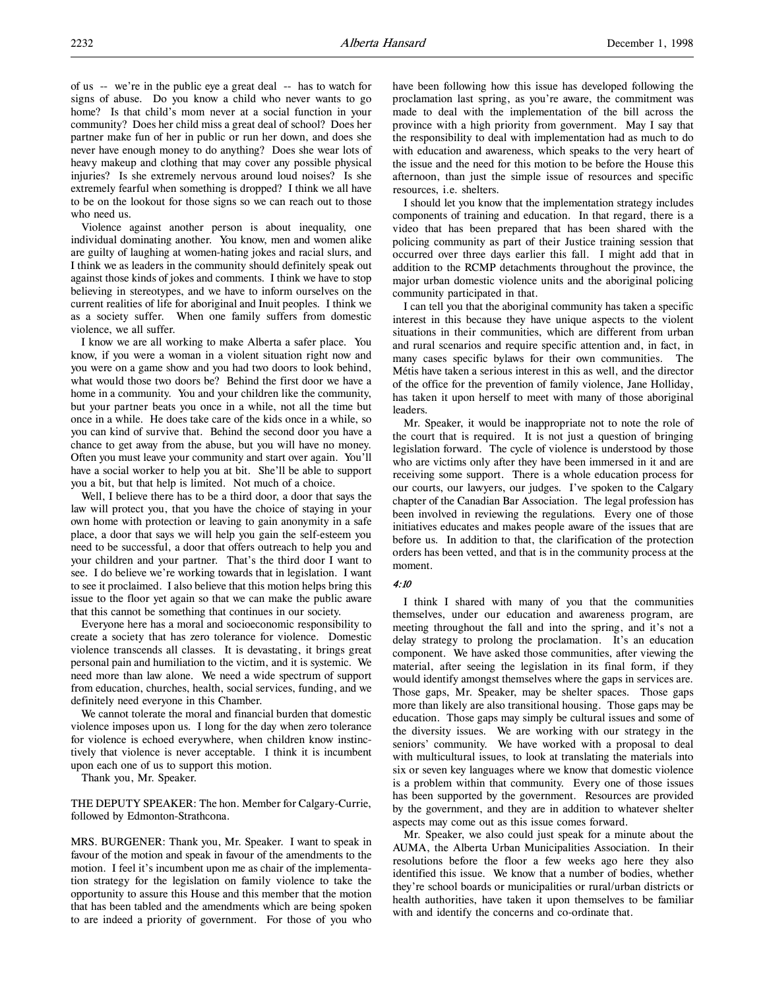of us -- we're in the public eye a great deal -- has to watch for signs of abuse. Do you know a child who never wants to go home? Is that child's mom never at a social function in your community? Does her child miss a great deal of school? Does her partner make fun of her in public or run her down, and does she never have enough money to do anything? Does she wear lots of heavy makeup and clothing that may cover any possible physical injuries? Is she extremely nervous around loud noises? Is she extremely fearful when something is dropped? I think we all have to be on the lookout for those signs so we can reach out to those who need us.

Violence against another person is about inequality, one individual dominating another. You know, men and women alike are guilty of laughing at women-hating jokes and racial slurs, and I think we as leaders in the community should definitely speak out against those kinds of jokes and comments. I think we have to stop believing in stereotypes, and we have to inform ourselves on the current realities of life for aboriginal and Inuit peoples. I think we as a society suffer. When one family suffers from domestic violence, we all suffer.

I know we are all working to make Alberta a safer place. You know, if you were a woman in a violent situation right now and you were on a game show and you had two doors to look behind, what would those two doors be? Behind the first door we have a home in a community. You and your children like the community, but your partner beats you once in a while, not all the time but once in a while. He does take care of the kids once in a while, so you can kind of survive that. Behind the second door you have a chance to get away from the abuse, but you will have no money. Often you must leave your community and start over again. You'll have a social worker to help you at bit. She'll be able to support you a bit, but that help is limited. Not much of a choice.

Well, I believe there has to be a third door, a door that says the law will protect you, that you have the choice of staying in your own home with protection or leaving to gain anonymity in a safe place, a door that says we will help you gain the self-esteem you need to be successful, a door that offers outreach to help you and your children and your partner. That's the third door I want to see. I do believe we're working towards that in legislation. I want to see it proclaimed. I also believe that this motion helps bring this issue to the floor yet again so that we can make the public aware that this cannot be something that continues in our society.

Everyone here has a moral and socioeconomic responsibility to create a society that has zero tolerance for violence. Domestic violence transcends all classes. It is devastating, it brings great personal pain and humiliation to the victim, and it is systemic. We need more than law alone. We need a wide spectrum of support from education, churches, health, social services, funding, and we definitely need everyone in this Chamber.

We cannot tolerate the moral and financial burden that domestic violence imposes upon us. I long for the day when zero tolerance for violence is echoed everywhere, when children know instinctively that violence is never acceptable. I think it is incumbent upon each one of us to support this motion.

Thank you, Mr. Speaker.

THE DEPUTY SPEAKER: The hon. Member for Calgary-Currie, followed by Edmonton-Strathcona.

MRS. BURGENER: Thank you, Mr. Speaker. I want to speak in favour of the motion and speak in favour of the amendments to the motion. I feel it's incumbent upon me as chair of the implementation strategy for the legislation on family violence to take the opportunity to assure this House and this member that the motion that has been tabled and the amendments which are being spoken to are indeed a priority of government. For those of you who

have been following how this issue has developed following the proclamation last spring, as you're aware, the commitment was made to deal with the implementation of the bill across the province with a high priority from government. May I say that the responsibility to deal with implementation had as much to do with education and awareness, which speaks to the very heart of the issue and the need for this motion to be before the House this afternoon, than just the simple issue of resources and specific resources, i.e. shelters.

I should let you know that the implementation strategy includes components of training and education. In that regard, there is a video that has been prepared that has been shared with the policing community as part of their Justice training session that occurred over three days earlier this fall. I might add that in addition to the RCMP detachments throughout the province, the major urban domestic violence units and the aboriginal policing community participated in that.

I can tell you that the aboriginal community has taken a specific interest in this because they have unique aspects to the violent situations in their communities, which are different from urban and rural scenarios and require specific attention and, in fact, in many cases specific bylaws for their own communities. The Métis have taken a serious interest in this as well, and the director of the office for the prevention of family violence, Jane Holliday, has taken it upon herself to meet with many of those aboriginal leaders.

Mr. Speaker, it would be inappropriate not to note the role of the court that is required. It is not just a question of bringing legislation forward. The cycle of violence is understood by those who are victims only after they have been immersed in it and are receiving some support. There is a whole education process for our courts, our lawyers, our judges. I've spoken to the Calgary chapter of the Canadian Bar Association. The legal profession has been involved in reviewing the regulations. Every one of those initiatives educates and makes people aware of the issues that are before us. In addition to that, the clarification of the protection orders has been vetted, and that is in the community process at the moment.

## 4:10

I think I shared with many of you that the communities themselves, under our education and awareness program, are meeting throughout the fall and into the spring, and it's not a delay strategy to prolong the proclamation. It's an education component. We have asked those communities, after viewing the material, after seeing the legislation in its final form, if they would identify amongst themselves where the gaps in services are. Those gaps, Mr. Speaker, may be shelter spaces. Those gaps more than likely are also transitional housing. Those gaps may be education. Those gaps may simply be cultural issues and some of the diversity issues. We are working with our strategy in the seniors' community. We have worked with a proposal to deal with multicultural issues, to look at translating the materials into six or seven key languages where we know that domestic violence is a problem within that community. Every one of those issues has been supported by the government. Resources are provided by the government, and they are in addition to whatever shelter aspects may come out as this issue comes forward.

Mr. Speaker, we also could just speak for a minute about the AUMA, the Alberta Urban Municipalities Association. In their resolutions before the floor a few weeks ago here they also identified this issue. We know that a number of bodies, whether they're school boards or municipalities or rural/urban districts or health authorities, have taken it upon themselves to be familiar with and identify the concerns and co-ordinate that.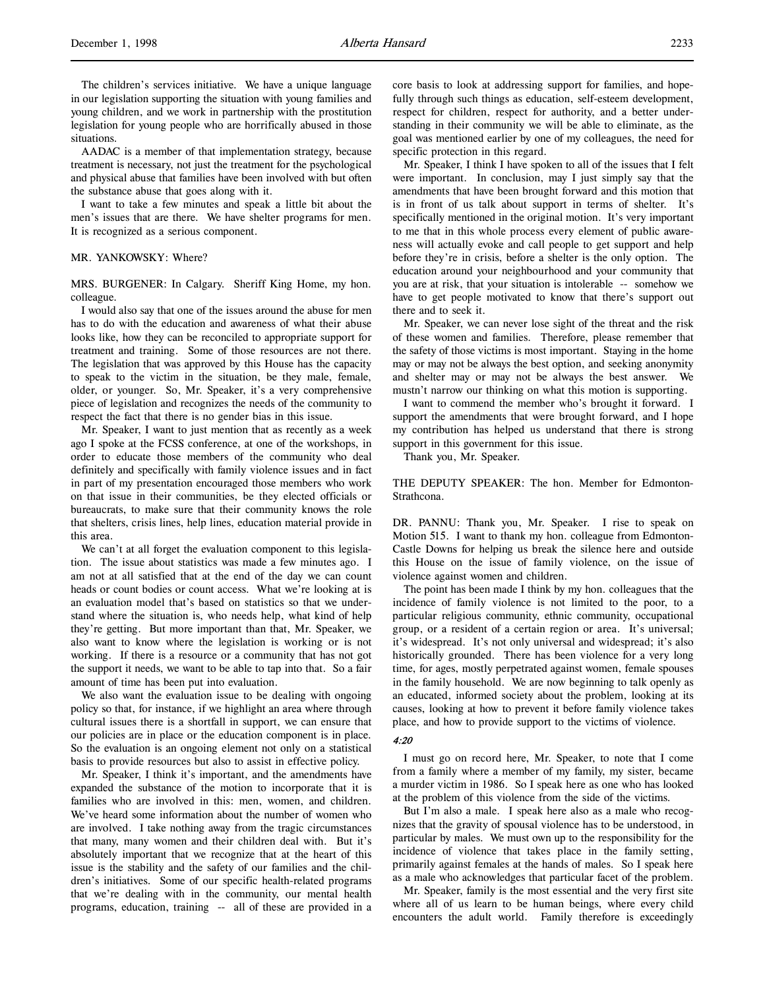The children's services initiative. We have a unique language in our legislation supporting the situation with young families and young children, and we work in partnership with the prostitution legislation for young people who are horrifically abused in those situations.

AADAC is a member of that implementation strategy, because treatment is necessary, not just the treatment for the psychological and physical abuse that families have been involved with but often the substance abuse that goes along with it.

I want to take a few minutes and speak a little bit about the men's issues that are there. We have shelter programs for men. It is recognized as a serious component.

## MR. YANKOWSKY: Where?

MRS. BURGENER: In Calgary. Sheriff King Home, my hon. colleague.

I would also say that one of the issues around the abuse for men has to do with the education and awareness of what their abuse looks like, how they can be reconciled to appropriate support for treatment and training. Some of those resources are not there. The legislation that was approved by this House has the capacity to speak to the victim in the situation, be they male, female, older, or younger. So, Mr. Speaker, it's a very comprehensive piece of legislation and recognizes the needs of the community to respect the fact that there is no gender bias in this issue.

Mr. Speaker, I want to just mention that as recently as a week ago I spoke at the FCSS conference, at one of the workshops, in order to educate those members of the community who deal definitely and specifically with family violence issues and in fact in part of my presentation encouraged those members who work on that issue in their communities, be they elected officials or bureaucrats, to make sure that their community knows the role that shelters, crisis lines, help lines, education material provide in this area.

We can't at all forget the evaluation component to this legislation. The issue about statistics was made a few minutes ago. I am not at all satisfied that at the end of the day we can count heads or count bodies or count access. What we're looking at is an evaluation model that's based on statistics so that we understand where the situation is, who needs help, what kind of help they're getting. But more important than that, Mr. Speaker, we also want to know where the legislation is working or is not working. If there is a resource or a community that has not got the support it needs, we want to be able to tap into that. So a fair amount of time has been put into evaluation.

We also want the evaluation issue to be dealing with ongoing policy so that, for instance, if we highlight an area where through cultural issues there is a shortfall in support, we can ensure that our policies are in place or the education component is in place. So the evaluation is an ongoing element not only on a statistical basis to provide resources but also to assist in effective policy.

Mr. Speaker, I think it's important, and the amendments have expanded the substance of the motion to incorporate that it is families who are involved in this: men, women, and children. We've heard some information about the number of women who are involved. I take nothing away from the tragic circumstances that many, many women and their children deal with. But it's absolutely important that we recognize that at the heart of this issue is the stability and the safety of our families and the children's initiatives. Some of our specific health-related programs that we're dealing with in the community, our mental health programs, education, training -- all of these are provided in a

core basis to look at addressing support for families, and hopefully through such things as education, self-esteem development, respect for children, respect for authority, and a better understanding in their community we will be able to eliminate, as the goal was mentioned earlier by one of my colleagues, the need for specific protection in this regard.

Mr. Speaker, I think I have spoken to all of the issues that I felt were important. In conclusion, may I just simply say that the amendments that have been brought forward and this motion that is in front of us talk about support in terms of shelter. It's specifically mentioned in the original motion. It's very important to me that in this whole process every element of public awareness will actually evoke and call people to get support and help before they're in crisis, before a shelter is the only option. The education around your neighbourhood and your community that you are at risk, that your situation is intolerable -- somehow we have to get people motivated to know that there's support out there and to seek it.

Mr. Speaker, we can never lose sight of the threat and the risk of these women and families. Therefore, please remember that the safety of those victims is most important. Staying in the home may or may not be always the best option, and seeking anonymity and shelter may or may not be always the best answer. We mustn't narrow our thinking on what this motion is supporting.

I want to commend the member who's brought it forward. I support the amendments that were brought forward, and I hope my contribution has helped us understand that there is strong support in this government for this issue.

Thank you, Mr. Speaker.

THE DEPUTY SPEAKER: The hon. Member for Edmonton-Strathcona.

DR. PANNU: Thank you, Mr. Speaker. I rise to speak on Motion 515. I want to thank my hon. colleague from Edmonton-Castle Downs for helping us break the silence here and outside this House on the issue of family violence, on the issue of violence against women and children.

The point has been made I think by my hon. colleagues that the incidence of family violence is not limited to the poor, to a particular religious community, ethnic community, occupational group, or a resident of a certain region or area. It's universal; it's widespread. It's not only universal and widespread; it's also historically grounded. There has been violence for a very long time, for ages, mostly perpetrated against women, female spouses in the family household. We are now beginning to talk openly as an educated, informed society about the problem, looking at its causes, looking at how to prevent it before family violence takes place, and how to provide support to the victims of violence.

#### 4:20

I must go on record here, Mr. Speaker, to note that I come from a family where a member of my family, my sister, became a murder victim in 1986. So I speak here as one who has looked at the problem of this violence from the side of the victims.

But I'm also a male. I speak here also as a male who recognizes that the gravity of spousal violence has to be understood, in particular by males. We must own up to the responsibility for the incidence of violence that takes place in the family setting, primarily against females at the hands of males. So I speak here as a male who acknowledges that particular facet of the problem.

Mr. Speaker, family is the most essential and the very first site where all of us learn to be human beings, where every child encounters the adult world. Family therefore is exceedingly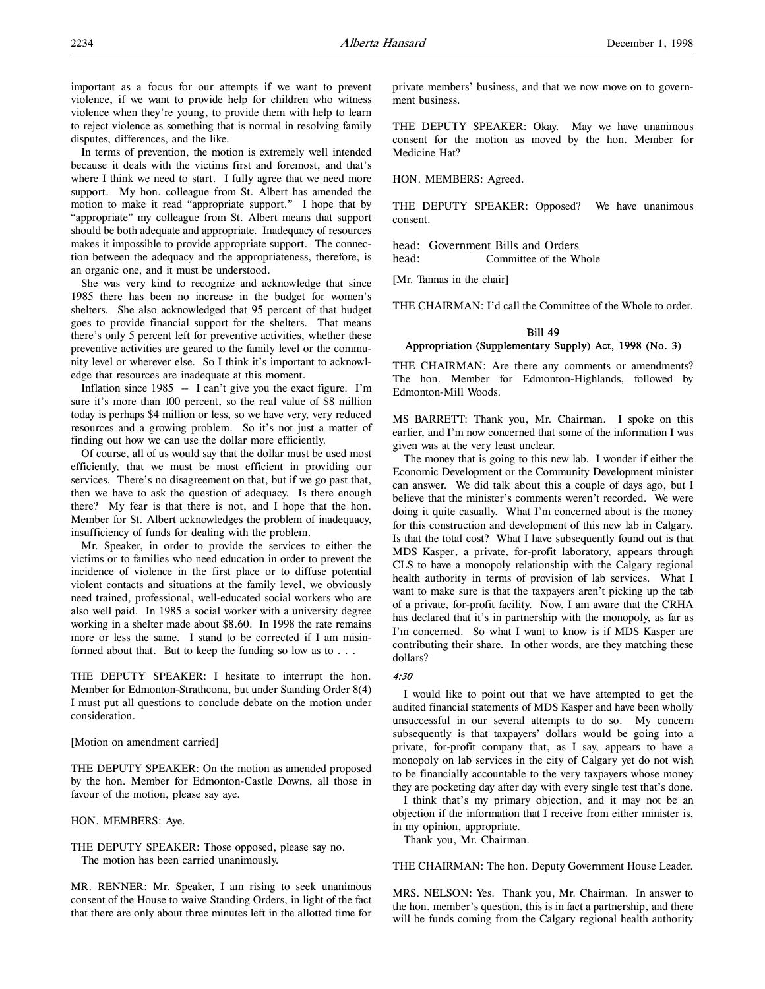important as a focus for our attempts if we want to prevent violence, if we want to provide help for children who witness violence when they're young, to provide them with help to learn to reject violence as something that is normal in resolving family disputes, differences, and the like.

In terms of prevention, the motion is extremely well intended because it deals with the victims first and foremost, and that's where I think we need to start. I fully agree that we need more support. My hon. colleague from St. Albert has amended the motion to make it read "appropriate support." I hope that by "appropriate" my colleague from St. Albert means that support should be both adequate and appropriate. Inadequacy of resources makes it impossible to provide appropriate support. The connection between the adequacy and the appropriateness, therefore, is an organic one, and it must be understood.

She was very kind to recognize and acknowledge that since 1985 there has been no increase in the budget for women's shelters. She also acknowledged that 95 percent of that budget goes to provide financial support for the shelters. That means there's only 5 percent left for preventive activities, whether these preventive activities are geared to the family level or the community level or wherever else. So I think it's important to acknowledge that resources are inadequate at this moment.

Inflation since 1985 -- I can't give you the exact figure. I'm sure it's more than 100 percent, so the real value of \$8 million today is perhaps \$4 million or less, so we have very, very reduced resources and a growing problem. So it's not just a matter of finding out how we can use the dollar more efficiently.

Of course, all of us would say that the dollar must be used most efficiently, that we must be most efficient in providing our services. There's no disagreement on that, but if we go past that, then we have to ask the question of adequacy. Is there enough there? My fear is that there is not, and I hope that the hon. Member for St. Albert acknowledges the problem of inadequacy, insufficiency of funds for dealing with the problem.

Mr. Speaker, in order to provide the services to either the victims or to families who need education in order to prevent the incidence of violence in the first place or to diffuse potential violent contacts and situations at the family level, we obviously need trained, professional, well-educated social workers who are also well paid. In 1985 a social worker with a university degree working in a shelter made about \$8.60. In 1998 the rate remains more or less the same. I stand to be corrected if I am misinformed about that. But to keep the funding so low as to . . .

THE DEPUTY SPEAKER: I hesitate to interrupt the hon. Member for Edmonton-Strathcona, but under Standing Order 8(4) I must put all questions to conclude debate on the motion under consideration.

#### [Motion on amendment carried]

THE DEPUTY SPEAKER: On the motion as amended proposed by the hon. Member for Edmonton-Castle Downs, all those in favour of the motion, please say aye.

## HON. MEMBERS: Aye.

THE DEPUTY SPEAKER: Those opposed, please say no. The motion has been carried unanimously.

MR. RENNER: Mr. Speaker, I am rising to seek unanimous consent of the House to waive Standing Orders, in light of the fact that there are only about three minutes left in the allotted time for

private members' business, and that we now move on to government business.

THE DEPUTY SPEAKER: Okay. May we have unanimous consent for the motion as moved by the hon. Member for Medicine Hat?

HON. MEMBERS: Agreed.

THE DEPUTY SPEAKER: Opposed? We have unanimous consent.

head: Government Bills and Orders head: Committee of the Whole

[Mr. Tannas in the chair]

THE CHAIRMAN: I'd call the Committee of the Whole to order.

# Bill 49 Appropriation (Supplementary Supply) Act, 1998 (No. 3)

THE CHAIRMAN: Are there any comments or amendments? The hon. Member for Edmonton-Highlands, followed by Edmonton-Mill Woods.

MS BARRETT: Thank you, Mr. Chairman. I spoke on this earlier, and I'm now concerned that some of the information I was given was at the very least unclear.

The money that is going to this new lab. I wonder if either the Economic Development or the Community Development minister can answer. We did talk about this a couple of days ago, but I believe that the minister's comments weren't recorded. We were doing it quite casually. What I'm concerned about is the money for this construction and development of this new lab in Calgary. Is that the total cost? What I have subsequently found out is that MDS Kasper, a private, for-profit laboratory, appears through CLS to have a monopoly relationship with the Calgary regional health authority in terms of provision of lab services. What I want to make sure is that the taxpayers aren't picking up the tab of a private, for-profit facility. Now, I am aware that the CRHA has declared that it's in partnership with the monopoly, as far as I'm concerned. So what I want to know is if MDS Kasper are contributing their share. In other words, are they matching these dollars?

## 4:30

I would like to point out that we have attempted to get the audited financial statements of MDS Kasper and have been wholly unsuccessful in our several attempts to do so. My concern subsequently is that taxpayers' dollars would be going into a private, for-profit company that, as I say, appears to have a monopoly on lab services in the city of Calgary yet do not wish to be financially accountable to the very taxpayers whose money they are pocketing day after day with every single test that's done.

I think that's my primary objection, and it may not be an objection if the information that I receive from either minister is, in my opinion, appropriate.

Thank you, Mr. Chairman.

THE CHAIRMAN: The hon. Deputy Government House Leader.

MRS. NELSON: Yes. Thank you, Mr. Chairman. In answer to the hon. member's question, this is in fact a partnership, and there will be funds coming from the Calgary regional health authority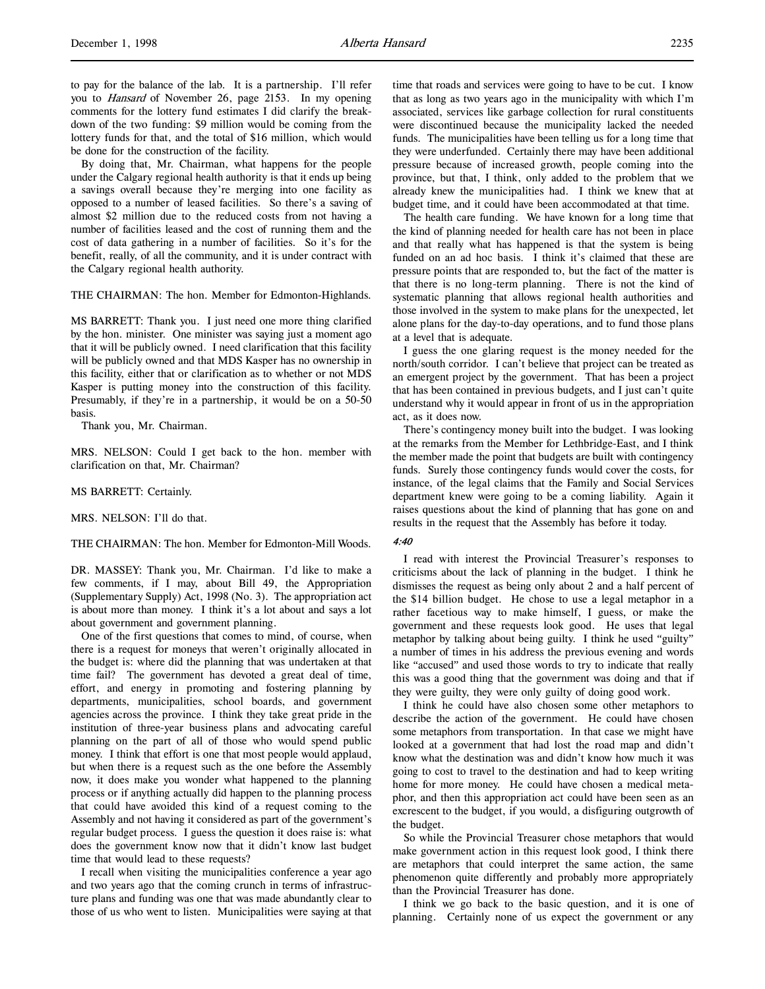By doing that, Mr. Chairman, what happens for the people under the Calgary regional health authority is that it ends up being a savings overall because they're merging into one facility as opposed to a number of leased facilities. So there's a saving of almost \$2 million due to the reduced costs from not having a number of facilities leased and the cost of running them and the cost of data gathering in a number of facilities. So it's for the benefit, really, of all the community, and it is under contract with the Calgary regional health authority.

THE CHAIRMAN: The hon. Member for Edmonton-Highlands.

MS BARRETT: Thank you. I just need one more thing clarified by the hon. minister. One minister was saying just a moment ago that it will be publicly owned. I need clarification that this facility will be publicly owned and that MDS Kasper has no ownership in this facility, either that or clarification as to whether or not MDS Kasper is putting money into the construction of this facility. Presumably, if they're in a partnership, it would be on a 50-50 basis.

Thank you, Mr. Chairman.

MRS. NELSON: Could I get back to the hon. member with clarification on that, Mr. Chairman?

#### MS BARRETT: Certainly.

MRS. NELSON: I'll do that.

THE CHAIRMAN: The hon. Member for Edmonton-Mill Woods.

DR. MASSEY: Thank you, Mr. Chairman. I'd like to make a few comments, if I may, about Bill 49, the Appropriation (Supplementary Supply) Act, 1998 (No. 3). The appropriation act is about more than money. I think it's a lot about and says a lot about government and government planning.

One of the first questions that comes to mind, of course, when there is a request for moneys that weren't originally allocated in the budget is: where did the planning that was undertaken at that time fail? The government has devoted a great deal of time, effort, and energy in promoting and fostering planning by departments, municipalities, school boards, and government agencies across the province. I think they take great pride in the institution of three-year business plans and advocating careful planning on the part of all of those who would spend public money. I think that effort is one that most people would applaud, but when there is a request such as the one before the Assembly now, it does make you wonder what happened to the planning process or if anything actually did happen to the planning process that could have avoided this kind of a request coming to the Assembly and not having it considered as part of the government's regular budget process. I guess the question it does raise is: what does the government know now that it didn't know last budget time that would lead to these requests?

I recall when visiting the municipalities conference a year ago and two years ago that the coming crunch in terms of infrastructure plans and funding was one that was made abundantly clear to those of us who went to listen. Municipalities were saying at that time that roads and services were going to have to be cut. I know that as long as two years ago in the municipality with which I'm associated, services like garbage collection for rural constituents were discontinued because the municipality lacked the needed funds. The municipalities have been telling us for a long time that they were underfunded. Certainly there may have been additional pressure because of increased growth, people coming into the province, but that, I think, only added to the problem that we already knew the municipalities had. I think we knew that at budget time, and it could have been accommodated at that time.

The health care funding. We have known for a long time that the kind of planning needed for health care has not been in place and that really what has happened is that the system is being funded on an ad hoc basis. I think it's claimed that these are pressure points that are responded to, but the fact of the matter is that there is no long-term planning. There is not the kind of systematic planning that allows regional health authorities and those involved in the system to make plans for the unexpected, let alone plans for the day-to-day operations, and to fund those plans at a level that is adequate.

I guess the one glaring request is the money needed for the north/south corridor. I can't believe that project can be treated as an emergent project by the government. That has been a project that has been contained in previous budgets, and I just can't quite understand why it would appear in front of us in the appropriation act, as it does now.

There's contingency money built into the budget. I was looking at the remarks from the Member for Lethbridge-East, and I think the member made the point that budgets are built with contingency funds. Surely those contingency funds would cover the costs, for instance, of the legal claims that the Family and Social Services department knew were going to be a coming liability. Again it raises questions about the kind of planning that has gone on and results in the request that the Assembly has before it today.

## 4:40

I read with interest the Provincial Treasurer's responses to criticisms about the lack of planning in the budget. I think he dismisses the request as being only about 2 and a half percent of the \$14 billion budget. He chose to use a legal metaphor in a rather facetious way to make himself, I guess, or make the government and these requests look good. He uses that legal metaphor by talking about being guilty. I think he used "guilty" a number of times in his address the previous evening and words like "accused" and used those words to try to indicate that really this was a good thing that the government was doing and that if they were guilty, they were only guilty of doing good work.

I think he could have also chosen some other metaphors to describe the action of the government. He could have chosen some metaphors from transportation. In that case we might have looked at a government that had lost the road map and didn't know what the destination was and didn't know how much it was going to cost to travel to the destination and had to keep writing home for more money. He could have chosen a medical metaphor, and then this appropriation act could have been seen as an excrescent to the budget, if you would, a disfiguring outgrowth of the budget.

So while the Provincial Treasurer chose metaphors that would make government action in this request look good, I think there are metaphors that could interpret the same action, the same phenomenon quite differently and probably more appropriately than the Provincial Treasurer has done.

I think we go back to the basic question, and it is one of planning. Certainly none of us expect the government or any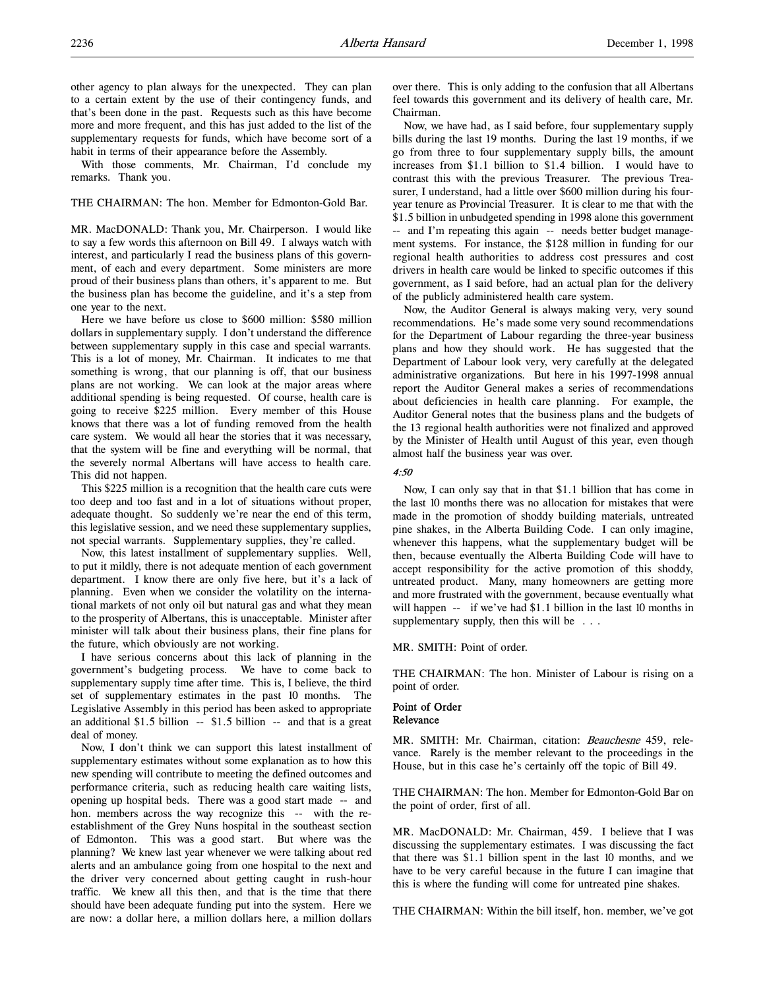other agency to plan always for the unexpected. They can plan to a certain extent by the use of their contingency funds, and that's been done in the past. Requests such as this have become more and more frequent, and this has just added to the list of the supplementary requests for funds, which have become sort of a habit in terms of their appearance before the Assembly.

With those comments, Mr. Chairman, I'd conclude my remarks. Thank you.

# THE CHAIRMAN: The hon. Member for Edmonton-Gold Bar.

MR. MacDONALD: Thank you, Mr. Chairperson. I would like to say a few words this afternoon on Bill 49. I always watch with interest, and particularly I read the business plans of this government, of each and every department. Some ministers are more proud of their business plans than others, it's apparent to me. But the business plan has become the guideline, and it's a step from one year to the next.

Here we have before us close to \$600 million: \$580 million dollars in supplementary supply. I don't understand the difference between supplementary supply in this case and special warrants. This is a lot of money, Mr. Chairman. It indicates to me that something is wrong, that our planning is off, that our business plans are not working. We can look at the major areas where additional spending is being requested. Of course, health care is going to receive \$225 million. Every member of this House knows that there was a lot of funding removed from the health care system. We would all hear the stories that it was necessary, that the system will be fine and everything will be normal, that the severely normal Albertans will have access to health care. This did not happen.

This \$225 million is a recognition that the health care cuts were too deep and too fast and in a lot of situations without proper, adequate thought. So suddenly we're near the end of this term, this legislative session, and we need these supplementary supplies, not special warrants. Supplementary supplies, they're called.

Now, this latest installment of supplementary supplies. Well, to put it mildly, there is not adequate mention of each government department. I know there are only five here, but it's a lack of planning. Even when we consider the volatility on the international markets of not only oil but natural gas and what they mean to the prosperity of Albertans, this is unacceptable. Minister after minister will talk about their business plans, their fine plans for the future, which obviously are not working.

I have serious concerns about this lack of planning in the government's budgeting process. We have to come back to supplementary supply time after time. This is, I believe, the third set of supplementary estimates in the past 10 months. The Legislative Assembly in this period has been asked to appropriate an additional \$1.5 billion -- \$1.5 billion -- and that is a great deal of money.

Now, I don't think we can support this latest installment of supplementary estimates without some explanation as to how this new spending will contribute to meeting the defined outcomes and performance criteria, such as reducing health care waiting lists, opening up hospital beds. There was a good start made -- and hon. members across the way recognize this -- with the reestablishment of the Grey Nuns hospital in the southeast section of Edmonton. This was a good start. But where was the planning? We knew last year whenever we were talking about red alerts and an ambulance going from one hospital to the next and the driver very concerned about getting caught in rush-hour traffic. We knew all this then, and that is the time that there should have been adequate funding put into the system. Here we are now: a dollar here, a million dollars here, a million dollars

over there. This is only adding to the confusion that all Albertans feel towards this government and its delivery of health care, Mr. Chairman.

Now, we have had, as I said before, four supplementary supply bills during the last 19 months. During the last 19 months, if we go from three to four supplementary supply bills, the amount increases from \$1.1 billion to \$1.4 billion. I would have to contrast this with the previous Treasurer. The previous Treasurer, I understand, had a little over \$600 million during his fouryear tenure as Provincial Treasurer. It is clear to me that with the \$1.5 billion in unbudgeted spending in 1998 alone this government -- and I'm repeating this again -- needs better budget management systems. For instance, the \$128 million in funding for our regional health authorities to address cost pressures and cost drivers in health care would be linked to specific outcomes if this government, as I said before, had an actual plan for the delivery of the publicly administered health care system.

Now, the Auditor General is always making very, very sound recommendations. He's made some very sound recommendations for the Department of Labour regarding the three-year business plans and how they should work. He has suggested that the Department of Labour look very, very carefully at the delegated administrative organizations. But here in his 1997-1998 annual report the Auditor General makes a series of recommendations about deficiencies in health care planning. For example, the Auditor General notes that the business plans and the budgets of the 13 regional health authorities were not finalized and approved by the Minister of Health until August of this year, even though almost half the business year was over.

# 4:50

Now, I can only say that in that \$1.1 billion that has come in the last 10 months there was no allocation for mistakes that were made in the promotion of shoddy building materials, untreated pine shakes, in the Alberta Building Code. I can only imagine, whenever this happens, what the supplementary budget will be then, because eventually the Alberta Building Code will have to accept responsibility for the active promotion of this shoddy, untreated product. Many, many homeowners are getting more and more frustrated with the government, because eventually what will happen -- if we've had \$1.1 billion in the last 10 months in supplementary supply, then this will be . . .

MR. SMITH: Point of order.

THE CHAIRMAN: The hon. Minister of Labour is rising on a point of order.

#### Point of Order Relevance

MR. SMITH: Mr. Chairman, citation: Beauchesne 459, relevance. Rarely is the member relevant to the proceedings in the House, but in this case he's certainly off the topic of Bill 49.

THE CHAIRMAN: The hon. Member for Edmonton-Gold Bar on the point of order, first of all.

MR. MacDONALD: Mr. Chairman, 459. I believe that I was discussing the supplementary estimates. I was discussing the fact that there was \$1.1 billion spent in the last 10 months, and we have to be very careful because in the future I can imagine that this is where the funding will come for untreated pine shakes.

THE CHAIRMAN: Within the bill itself, hon. member, we've got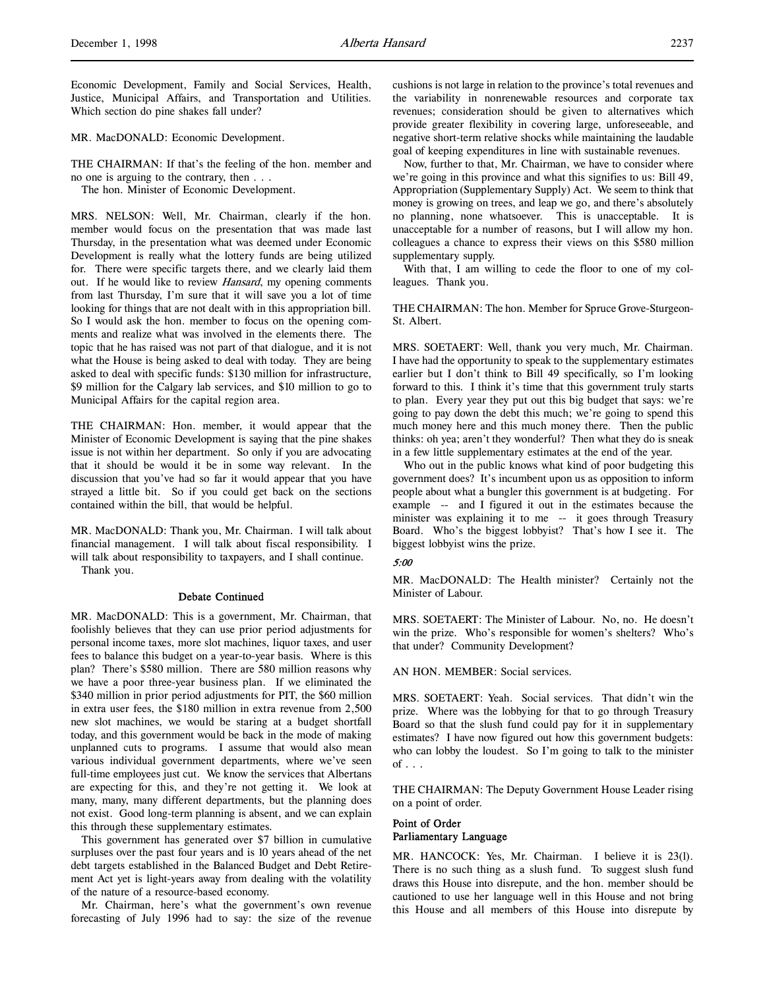Economic Development, Family and Social Services, Health, Justice, Municipal Affairs, and Transportation and Utilities. Which section do pine shakes fall under?

MR. MacDONALD: Economic Development.

THE CHAIRMAN: If that's the feeling of the hon. member and no one is arguing to the contrary, then . . .

The hon. Minister of Economic Development.

MRS. NELSON: Well, Mr. Chairman, clearly if the hon. member would focus on the presentation that was made last Thursday, in the presentation what was deemed under Economic Development is really what the lottery funds are being utilized for. There were specific targets there, and we clearly laid them out. If he would like to review *Hansard*, my opening comments from last Thursday, I'm sure that it will save you a lot of time looking for things that are not dealt with in this appropriation bill. So I would ask the hon. member to focus on the opening comments and realize what was involved in the elements there. The topic that he has raised was not part of that dialogue, and it is not what the House is being asked to deal with today. They are being asked to deal with specific funds: \$130 million for infrastructure, \$9 million for the Calgary lab services, and \$10 million to go to Municipal Affairs for the capital region area.

THE CHAIRMAN: Hon. member, it would appear that the Minister of Economic Development is saying that the pine shakes issue is not within her department. So only if you are advocating that it should be would it be in some way relevant. In the discussion that you've had so far it would appear that you have strayed a little bit. So if you could get back on the sections contained within the bill, that would be helpful.

MR. MacDONALD: Thank you, Mr. Chairman. I will talk about financial management. I will talk about fiscal responsibility. I will talk about responsibility to taxpayers, and I shall continue. Thank you.

## Debate Continued

MR. MacDONALD: This is a government, Mr. Chairman, that foolishly believes that they can use prior period adjustments for personal income taxes, more slot machines, liquor taxes, and user fees to balance this budget on a year-to-year basis. Where is this plan? There's \$580 million. There are 580 million reasons why we have a poor three-year business plan. If we eliminated the \$340 million in prior period adjustments for PIT, the \$60 million in extra user fees, the \$180 million in extra revenue from 2,500 new slot machines, we would be staring at a budget shortfall today, and this government would be back in the mode of making unplanned cuts to programs. I assume that would also mean various individual government departments, where we've seen full-time employees just cut. We know the services that Albertans are expecting for this, and they're not getting it. We look at many, many, many different departments, but the planning does not exist. Good long-term planning is absent, and we can explain this through these supplementary estimates.

This government has generated over \$7 billion in cumulative surpluses over the past four years and is 10 years ahead of the net debt targets established in the Balanced Budget and Debt Retirement Act yet is light-years away from dealing with the volatility of the nature of a resource-based economy.

Mr. Chairman, here's what the government's own revenue forecasting of July 1996 had to say: the size of the revenue

cushions is not large in relation to the province's total revenues and the variability in nonrenewable resources and corporate tax revenues; consideration should be given to alternatives which provide greater flexibility in covering large, unforeseeable, and negative short-term relative shocks while maintaining the laudable goal of keeping expenditures in line with sustainable revenues.

Now, further to that, Mr. Chairman, we have to consider where we're going in this province and what this signifies to us: Bill 49, Appropriation (Supplementary Supply) Act. We seem to think that money is growing on trees, and leap we go, and there's absolutely no planning, none whatsoever. This is unacceptable. It is unacceptable for a number of reasons, but I will allow my hon. colleagues a chance to express their views on this \$580 million supplementary supply.

With that, I am willing to cede the floor to one of my colleagues. Thank you.

THE CHAIRMAN: The hon. Member for Spruce Grove-Sturgeon-St. Albert.

MRS. SOETAERT: Well, thank you very much, Mr. Chairman. I have had the opportunity to speak to the supplementary estimates earlier but I don't think to Bill 49 specifically, so I'm looking forward to this. I think it's time that this government truly starts to plan. Every year they put out this big budget that says: we're going to pay down the debt this much; we're going to spend this much money here and this much money there. Then the public thinks: oh yea; aren't they wonderful? Then what they do is sneak in a few little supplementary estimates at the end of the year.

Who out in the public knows what kind of poor budgeting this government does? It's incumbent upon us as opposition to inform people about what a bungler this government is at budgeting. For example -- and I figured it out in the estimates because the minister was explaining it to me -- it goes through Treasury Board. Who's the biggest lobbyist? That's how I see it. The biggest lobbyist wins the prize.

# 5:00

MR. MacDONALD: The Health minister? Certainly not the Minister of Labour.

MRS. SOETAERT: The Minister of Labour. No, no. He doesn't win the prize. Who's responsible for women's shelters? Who's that under? Community Development?

AN HON. MEMBER: Social services.

MRS. SOETAERT: Yeah. Social services. That didn't win the prize. Where was the lobbying for that to go through Treasury Board so that the slush fund could pay for it in supplementary estimates? I have now figured out how this government budgets: who can lobby the loudest. So I'm going to talk to the minister of  $\ldots$ 

THE CHAIRMAN: The Deputy Government House Leader rising on a point of order.

# Point of Order Parliamentary Language

MR. HANCOCK: Yes, Mr. Chairman. I believe it is 23(l). There is no such thing as a slush fund. To suggest slush fund draws this House into disrepute, and the hon. member should be cautioned to use her language well in this House and not bring this House and all members of this House into disrepute by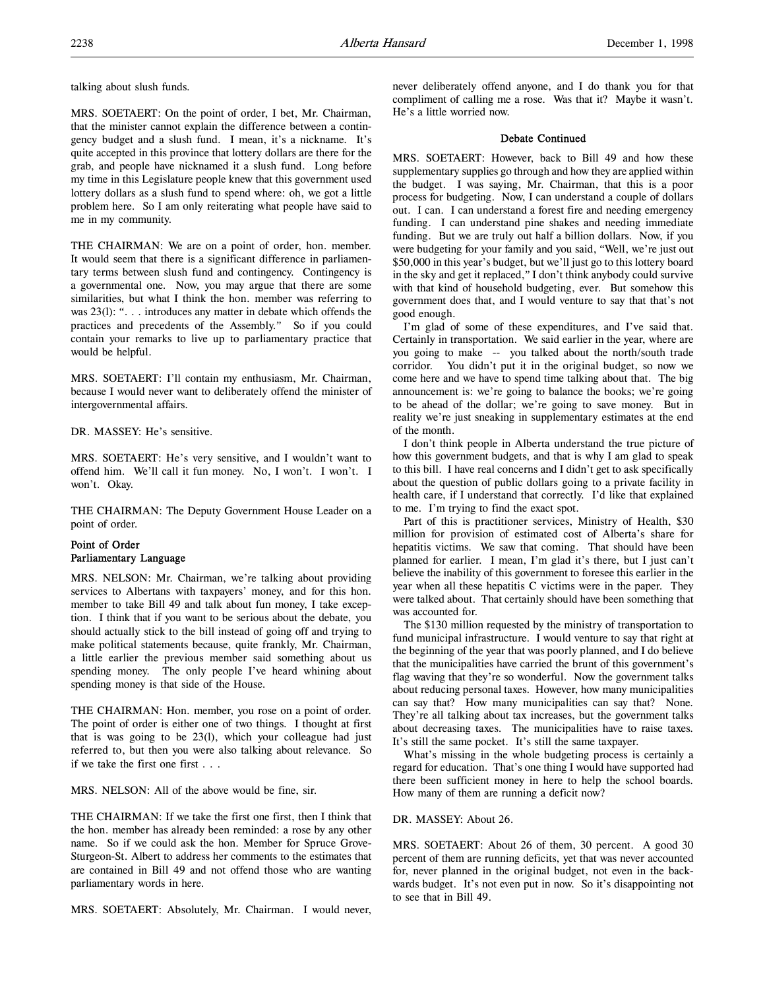talking about slush funds.

MRS. SOETAERT: On the point of order, I bet, Mr. Chairman, that the minister cannot explain the difference between a contingency budget and a slush fund. I mean, it's a nickname. It's quite accepted in this province that lottery dollars are there for the grab, and people have nicknamed it a slush fund. Long before my time in this Legislature people knew that this government used lottery dollars as a slush fund to spend where: oh, we got a little problem here. So I am only reiterating what people have said to me in my community.

THE CHAIRMAN: We are on a point of order, hon. member. It would seem that there is a significant difference in parliamentary terms between slush fund and contingency. Contingency is a governmental one. Now, you may argue that there are some similarities, but what I think the hon. member was referring to was 23(1): ". . . introduces any matter in debate which offends the practices and precedents of the Assembly." So if you could contain your remarks to live up to parliamentary practice that would be helpful.

MRS. SOETAERT: I'll contain my enthusiasm, Mr. Chairman, because I would never want to deliberately offend the minister of intergovernmental affairs.

DR. MASSEY: He's sensitive.

MRS. SOETAERT: He's very sensitive, and I wouldn't want to offend him. We'll call it fun money. No, I won't. I won't. I won't. Okay.

THE CHAIRMAN: The Deputy Government House Leader on a point of order.

# Point of Order Parliamentary Language

MRS. NELSON: Mr. Chairman, we're talking about providing services to Albertans with taxpayers' money, and for this hon. member to take Bill 49 and talk about fun money, I take exception. I think that if you want to be serious about the debate, you should actually stick to the bill instead of going off and trying to make political statements because, quite frankly, Mr. Chairman, a little earlier the previous member said something about us spending money. The only people I've heard whining about spending money is that side of the House.

THE CHAIRMAN: Hon. member, you rose on a point of order. The point of order is either one of two things. I thought at first that is was going to be 23(l), which your colleague had just referred to, but then you were also talking about relevance. So if we take the first one first . . .

MRS. NELSON: All of the above would be fine, sir.

THE CHAIRMAN: If we take the first one first, then I think that the hon. member has already been reminded: a rose by any other name. So if we could ask the hon. Member for Spruce Grove-Sturgeon-St. Albert to address her comments to the estimates that are contained in Bill 49 and not offend those who are wanting parliamentary words in here.

MRS. SOETAERT: Absolutely, Mr. Chairman. I would never,

never deliberately offend anyone, and I do thank you for that compliment of calling me a rose. Was that it? Maybe it wasn't. He's a little worried now.

## Debate Continued

MRS. SOETAERT: However, back to Bill 49 and how these supplementary supplies go through and how they are applied within the budget. I was saying, Mr. Chairman, that this is a poor process for budgeting. Now, I can understand a couple of dollars out. I can. I can understand a forest fire and needing emergency funding. I can understand pine shakes and needing immediate funding. But we are truly out half a billion dollars. Now, if you were budgeting for your family and you said, "Well, we're just out \$50,000 in this year's budget, but we'll just go to this lottery board in the sky and get it replaced," I don't think anybody could survive with that kind of household budgeting, ever. But somehow this government does that, and I would venture to say that that's not good enough.

I'm glad of some of these expenditures, and I've said that. Certainly in transportation. We said earlier in the year, where are you going to make -- you talked about the north/south trade corridor. You didn't put it in the original budget, so now we come here and we have to spend time talking about that. The big announcement is: we're going to balance the books; we're going to be ahead of the dollar; we're going to save money. But in reality we're just sneaking in supplementary estimates at the end of the month.

I don't think people in Alberta understand the true picture of how this government budgets, and that is why I am glad to speak to this bill. I have real concerns and I didn't get to ask specifically about the question of public dollars going to a private facility in health care, if I understand that correctly. I'd like that explained to me. I'm trying to find the exact spot.

Part of this is practitioner services, Ministry of Health, \$30 million for provision of estimated cost of Alberta's share for hepatitis victims. We saw that coming. That should have been planned for earlier. I mean, I'm glad it's there, but I just can't believe the inability of this government to foresee this earlier in the year when all these hepatitis C victims were in the paper. They were talked about. That certainly should have been something that was accounted for.

The \$130 million requested by the ministry of transportation to fund municipal infrastructure. I would venture to say that right at the beginning of the year that was poorly planned, and I do believe that the municipalities have carried the brunt of this government's flag waving that they're so wonderful. Now the government talks about reducing personal taxes. However, how many municipalities can say that? How many municipalities can say that? None. They're all talking about tax increases, but the government talks about decreasing taxes. The municipalities have to raise taxes. It's still the same pocket. It's still the same taxpayer.

What's missing in the whole budgeting process is certainly a regard for education. That's one thing I would have supported had there been sufficient money in here to help the school boards. How many of them are running a deficit now?

# DR. MASSEY: About 26.

MRS. SOETAERT: About 26 of them, 30 percent. A good 30 percent of them are running deficits, yet that was never accounted for, never planned in the original budget, not even in the backwards budget. It's not even put in now. So it's disappointing not to see that in Bill 49.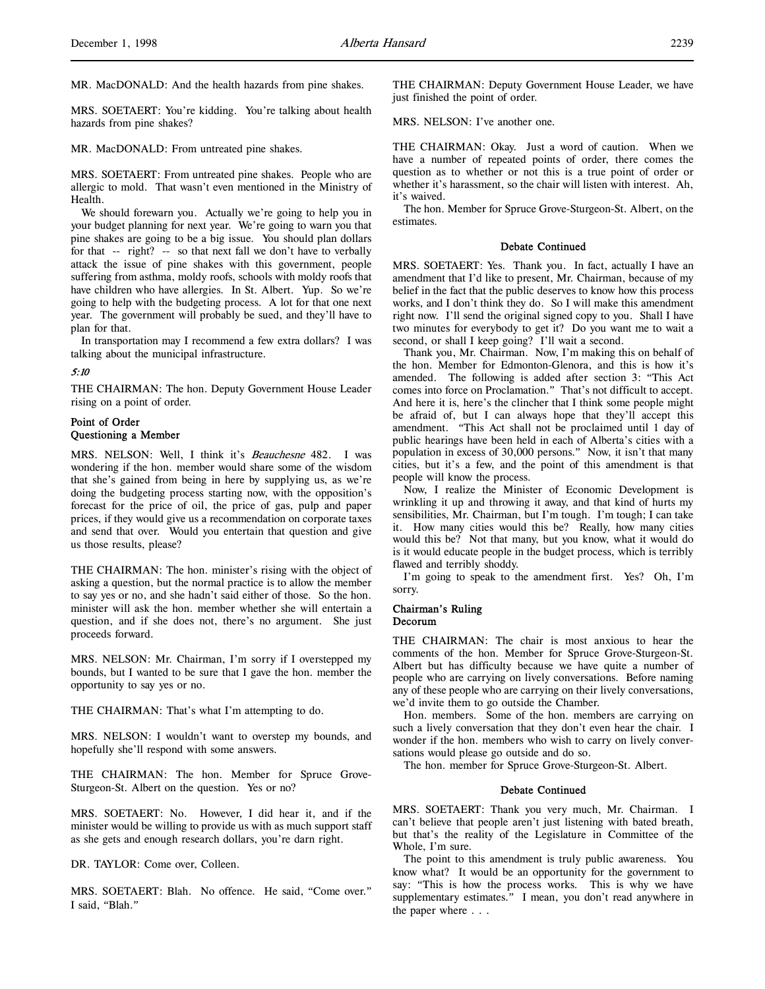MR. MacDONALD: And the health hazards from pine shakes.

MRS. SOETAERT: You're kidding. You're talking about health hazards from pine shakes?

MR. MacDONALD: From untreated pine shakes.

MRS. SOETAERT: From untreated pine shakes. People who are allergic to mold. That wasn't even mentioned in the Ministry of Health.

We should forewarn you. Actually we're going to help you in your budget planning for next year. We're going to warn you that pine shakes are going to be a big issue. You should plan dollars for that -- right? -- so that next fall we don't have to verbally attack the issue of pine shakes with this government, people suffering from asthma, moldy roofs, schools with moldy roofs that have children who have allergies. In St. Albert. Yup. So we're going to help with the budgeting process. A lot for that one next year. The government will probably be sued, and they'll have to plan for that.

In transportation may I recommend a few extra dollars? I was talking about the municipal infrastructure.

# 5:10

THE CHAIRMAN: The hon. Deputy Government House Leader rising on a point of order.

# Point of Order Questioning a Member

MRS. NELSON: Well, I think it's Beauchesne 482. I was wondering if the hon. member would share some of the wisdom that she's gained from being in here by supplying us, as we're doing the budgeting process starting now, with the opposition's forecast for the price of oil, the price of gas, pulp and paper prices, if they would give us a recommendation on corporate taxes and send that over. Would you entertain that question and give us those results, please?

THE CHAIRMAN: The hon. minister's rising with the object of asking a question, but the normal practice is to allow the member to say yes or no, and she hadn't said either of those. So the hon. minister will ask the hon. member whether she will entertain a question, and if she does not, there's no argument. She just proceeds forward.

MRS. NELSON: Mr. Chairman, I'm sorry if I overstepped my bounds, but I wanted to be sure that I gave the hon. member the opportunity to say yes or no.

THE CHAIRMAN: That's what I'm attempting to do.

MRS. NELSON: I wouldn't want to overstep my bounds, and hopefully she'll respond with some answers.

THE CHAIRMAN: The hon. Member for Spruce Grove-Sturgeon-St. Albert on the question. Yes or no?

MRS. SOETAERT: No. However, I did hear it, and if the minister would be willing to provide us with as much support staff as she gets and enough research dollars, you're darn right.

DR. TAYLOR: Come over, Colleen.

MRS. SOETAERT: Blah. No offence. He said, "Come over." I said, "Blah."

THE CHAIRMAN: Deputy Government House Leader, we have just finished the point of order.

MRS. NELSON: I've another one.

THE CHAIRMAN: Okay. Just a word of caution. When we have a number of repeated points of order, there comes the question as to whether or not this is a true point of order or whether it's harassment, so the chair will listen with interest. Ah, it's waived.

The hon. Member for Spruce Grove-Sturgeon-St. Albert, on the estimates.

## Debate Continued

MRS. SOETAERT: Yes. Thank you. In fact, actually I have an amendment that I'd like to present, Mr. Chairman, because of my belief in the fact that the public deserves to know how this process works, and I don't think they do. So I will make this amendment right now. I'll send the original signed copy to you. Shall I have two minutes for everybody to get it? Do you want me to wait a second, or shall I keep going? I'll wait a second.

Thank you, Mr. Chairman. Now, I'm making this on behalf of the hon. Member for Edmonton-Glenora, and this is how it's amended. The following is added after section 3: "This Act comes into force on Proclamation." That's not difficult to accept. And here it is, here's the clincher that I think some people might be afraid of, but I can always hope that they'll accept this amendment. "This Act shall not be proclaimed until 1 day of public hearings have been held in each of Alberta's cities with a population in excess of 30,000 persons." Now, it isn't that many cities, but it's a few, and the point of this amendment is that people will know the process.

Now, I realize the Minister of Economic Development is wrinkling it up and throwing it away, and that kind of hurts my sensibilities, Mr. Chairman, but I'm tough. I'm tough; I can take it. How many cities would this be? Really, how many cities would this be? Not that many, but you know, what it would do is it would educate people in the budget process, which is terribly flawed and terribly shoddy.

I'm going to speak to the amendment first. Yes? Oh, I'm sorry.

# Chairman's Ruling Decorum

THE CHAIRMAN: The chair is most anxious to hear the comments of the hon. Member for Spruce Grove-Sturgeon-St. Albert but has difficulty because we have quite a number of people who are carrying on lively conversations. Before naming any of these people who are carrying on their lively conversations, we'd invite them to go outside the Chamber.

Hon. members. Some of the hon. members are carrying on such a lively conversation that they don't even hear the chair. I wonder if the hon. members who wish to carry on lively conversations would please go outside and do so.

The hon. member for Spruce Grove-Sturgeon-St. Albert.

## Debate Continued

MRS. SOETAERT: Thank you very much, Mr. Chairman. I can't believe that people aren't just listening with bated breath, but that's the reality of the Legislature in Committee of the Whole, I'm sure.

The point to this amendment is truly public awareness. You know what? It would be an opportunity for the government to say: "This is how the process works. This is why we have supplementary estimates." I mean, you don't read anywhere in the paper where . . .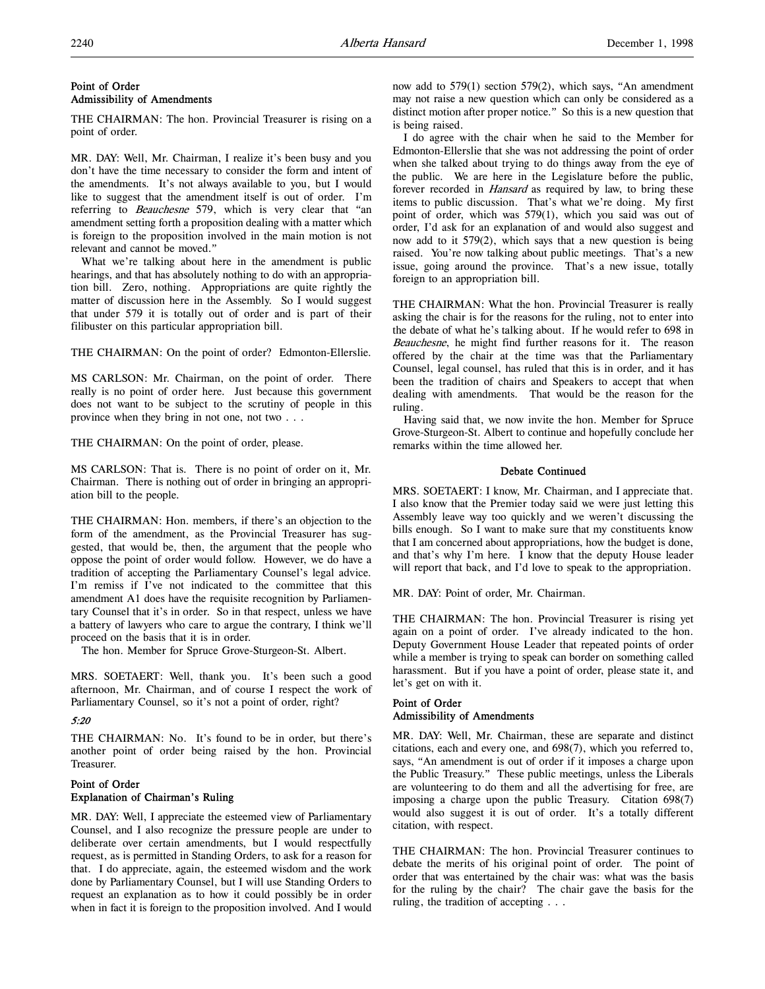# Point of Order Admissibility of Amendments

THE CHAIRMAN: The hon. Provincial Treasurer is rising on a point of order.

MR. DAY: Well, Mr. Chairman, I realize it's been busy and you don't have the time necessary to consider the form and intent of the amendments. It's not always available to you, but I would like to suggest that the amendment itself is out of order. I'm referring to Beauchesne 579, which is very clear that "an amendment setting forth a proposition dealing with a matter which is foreign to the proposition involved in the main motion is not relevant and cannot be moved."

What we're talking about here in the amendment is public hearings, and that has absolutely nothing to do with an appropriation bill. Zero, nothing. Appropriations are quite rightly the matter of discussion here in the Assembly. So I would suggest that under 579 it is totally out of order and is part of their filibuster on this particular appropriation bill.

THE CHAIRMAN: On the point of order? Edmonton-Ellerslie.

MS CARLSON: Mr. Chairman, on the point of order. There really is no point of order here. Just because this government does not want to be subject to the scrutiny of people in this province when they bring in not one, not two . . .

THE CHAIRMAN: On the point of order, please.

MS CARLSON: That is. There is no point of order on it, Mr. Chairman. There is nothing out of order in bringing an appropriation bill to the people.

THE CHAIRMAN: Hon. members, if there's an objection to the form of the amendment, as the Provincial Treasurer has suggested, that would be, then, the argument that the people who oppose the point of order would follow. However, we do have a tradition of accepting the Parliamentary Counsel's legal advice. I'm remiss if I've not indicated to the committee that this amendment A1 does have the requisite recognition by Parliamentary Counsel that it's in order. So in that respect, unless we have a battery of lawyers who care to argue the contrary, I think we'll proceed on the basis that it is in order.

The hon. Member for Spruce Grove-Sturgeon-St. Albert.

MRS. SOETAERT: Well, thank you. It's been such a good afternoon, Mr. Chairman, and of course I respect the work of Parliamentary Counsel, so it's not a point of order, right?

# 5:20

THE CHAIRMAN: No. It's found to be in order, but there's another point of order being raised by the hon. Provincial Treasurer.

# Point of Order Explanation of Chairman's Ruling

MR. DAY: Well, I appreciate the esteemed view of Parliamentary Counsel, and I also recognize the pressure people are under to deliberate over certain amendments, but I would respectfully request, as is permitted in Standing Orders, to ask for a reason for that. I do appreciate, again, the esteemed wisdom and the work done by Parliamentary Counsel, but I will use Standing Orders to request an explanation as to how it could possibly be in order when in fact it is foreign to the proposition involved. And I would now add to 579(1) section 579(2), which says, "An amendment may not raise a new question which can only be considered as a distinct motion after proper notice." So this is a new question that is being raised.

I do agree with the chair when he said to the Member for Edmonton-Ellerslie that she was not addressing the point of order when she talked about trying to do things away from the eye of the public. We are here in the Legislature before the public, forever recorded in *Hansard* as required by law, to bring these items to public discussion. That's what we're doing. My first point of order, which was 579(1), which you said was out of order, I'd ask for an explanation of and would also suggest and now add to it 579(2), which says that a new question is being raised. You're now talking about public meetings. That's a new issue, going around the province. That's a new issue, totally foreign to an appropriation bill.

THE CHAIRMAN: What the hon. Provincial Treasurer is really asking the chair is for the reasons for the ruling, not to enter into the debate of what he's talking about. If he would refer to 698 in Beauchesne, he might find further reasons for it. The reason offered by the chair at the time was that the Parliamentary Counsel, legal counsel, has ruled that this is in order, and it has been the tradition of chairs and Speakers to accept that when dealing with amendments. That would be the reason for the ruling.

Having said that, we now invite the hon. Member for Spruce Grove-Sturgeon-St. Albert to continue and hopefully conclude her remarks within the time allowed her.

# Debate Continued

MRS. SOETAERT: I know, Mr. Chairman, and I appreciate that. I also know that the Premier today said we were just letting this Assembly leave way too quickly and we weren't discussing the bills enough. So I want to make sure that my constituents know that I am concerned about appropriations, how the budget is done, and that's why I'm here. I know that the deputy House leader will report that back, and I'd love to speak to the appropriation.

MR. DAY: Point of order, Mr. Chairman.

THE CHAIRMAN: The hon. Provincial Treasurer is rising yet again on a point of order. I've already indicated to the hon. Deputy Government House Leader that repeated points of order while a member is trying to speak can border on something called harassment. But if you have a point of order, please state it, and let's get on with it.

# Point of Order Admissibility of Amendments

MR. DAY: Well, Mr. Chairman, these are separate and distinct citations, each and every one, and 698(7), which you referred to, says, "An amendment is out of order if it imposes a charge upon the Public Treasury." These public meetings, unless the Liberals are volunteering to do them and all the advertising for free, are imposing a charge upon the public Treasury. Citation 698(7) would also suggest it is out of order. It's a totally different citation, with respect.

THE CHAIRMAN: The hon. Provincial Treasurer continues to debate the merits of his original point of order. The point of order that was entertained by the chair was: what was the basis for the ruling by the chair? The chair gave the basis for the ruling, the tradition of accepting . . .